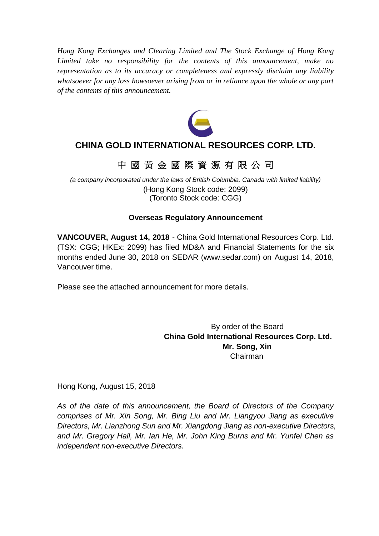*Hong Kong Exchanges and Clearing Limited and The Stock Exchange of Hong Kong Limited take no responsibility for the contents of this announcement, make no representation as to its accuracy or completeness and expressly disclaim any liability whatsoever for any loss howsoever arising from or in reliance upon the whole or any part of the contents of this announcement.*



# **CHINA GOLD INTERNATIONAL RESOURCES CORP. LTD.**

# 中 國 黃 金 國 際 資 源 有 限 公 司

*(a company incorporated under the laws of British Columbia, Canada with limited liability)* (Hong Kong Stock code: 2099) (Toronto Stock code: CGG)

# **Overseas Regulatory Announcement**

**VANCOUVER, August 14, 2018** - China Gold International Resources Corp. Ltd. (TSX: CGG; HKEx: 2099) has filed MD&A and Financial Statements for the six months ended June 30, 2018 on SEDAR (www.sedar.com) on August 14, 2018, Vancouver time.

Please see the attached announcement for more details.

By order of the Board **China Gold International Resources Corp. Ltd. Mr. Song, Xin** Chairman

Hong Kong, August 15, 2018

*As of the date of this announcement, the Board of Directors of the Company comprises of Mr. Xin Song, Mr. Bing Liu and Mr. Liangyou Jiang as executive Directors, Mr. Lianzhong Sun and Mr. Xiangdong Jiang as non-executive Directors, and Mr. Gregory Hall, Mr. Ian He, Mr. John King Burns and Mr. Yunfei Chen as independent non-executive Directors.*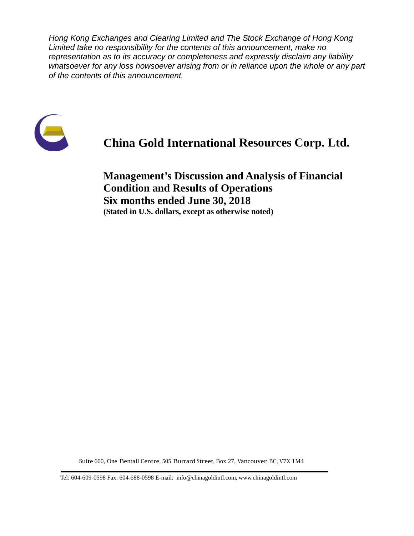*Hong Kong Exchanges and Clearing Limited and The Stock Exchange of Hong Kong Limited take no responsibility for the contents of this announcement, make no representation as to its accuracy or completeness and expressly disclaim any liability whatsoever for any loss howsoever arising from or in reliance upon the whole or any part of the contents of this announcement.*



# **China Gold International Resources Corp. Ltd.**

**Management's Discussion and Analysis of Financial Condition and Results of Operations Six months ended June 30, 2018 (Stated in U.S. dollars, except as otherwise noted)**

Suite 660, One Bentall Centre, 505 Burrard Street, Box 27, Vancouver, BC, V7X 1M4

Tel: 604-609-0598 Fax: 604-688-0598 E-mail: info@chinagoldintl.com, [www.chinagoldintl.com](http://www.chinagoldintl.com/)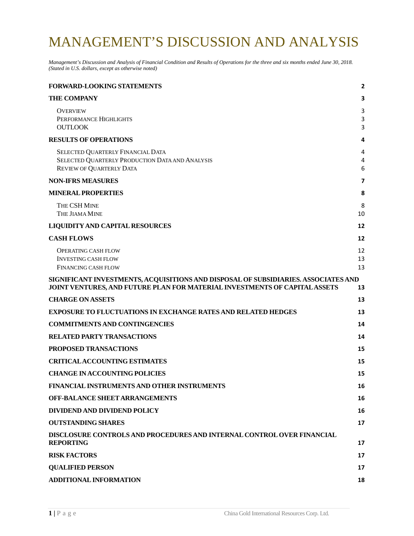# MANAGEMENT'S DISCUSSION AND ANALYSIS

*Management's Discussion and Analysis of Financial Condition and Results of Operations for the three and six months ended June 30, 2018. (Stated in U.S. dollars, except as otherwise noted)*

| <b>FORWARD-LOOKING STATEMENTS</b>                                                                                                                                | $\mathbf{2}$   |
|------------------------------------------------------------------------------------------------------------------------------------------------------------------|----------------|
| <b>THE COMPANY</b>                                                                                                                                               | 3              |
| <b>OVERVIEW</b><br>PERFORMANCE HIGHLIGHTS<br><b>OUTLOOK</b>                                                                                                      | 3<br>3<br>3    |
| <b>RESULTS OF OPERATIONS</b>                                                                                                                                     | 4              |
| SELECTED QUARTERLY FINANCIAL DATA<br>SELECTED QUARTERLY PRODUCTION DATA AND ANALYSIS<br><b>REVIEW OF QUARTERLY DATA</b>                                          | 4<br>4<br>6    |
| <b>NON-IFRS MEASURES</b>                                                                                                                                         | 7              |
| <b>MINERAL PROPERTIES</b>                                                                                                                                        | 8              |
| THE CSH MINE<br>THE JIAMA MINE                                                                                                                                   | 8<br>10        |
| <b>LIQUIDITY AND CAPITAL RESOURCES</b>                                                                                                                           | 12             |
| <b>CASH FLOWS</b>                                                                                                                                                | 12             |
| <b>OPERATING CASH FLOW</b><br><b>INVESTING CASH FLOW</b><br><b>FINANCING CASH FLOW</b>                                                                           | 12<br>13<br>13 |
| SIGNIFICANT INVESTMENTS, ACQUISITIONS AND DISPOSAL OF SUBSIDIARIES. ASSOCIATES AND<br>JOINT VENTURES, AND FUTURE PLAN FOR MATERIAL INVESTMENTS OF CAPITAL ASSETS | 13             |
| <b>CHARGE ON ASSETS</b>                                                                                                                                          | 13             |
| <b>EXPOSURE TO FLUCTUATIONS IN EXCHANGE RATES AND RELATED HEDGES</b>                                                                                             | 13             |
| <b>COMMITMENTS AND CONTINGENCIES</b>                                                                                                                             | 14             |
| <b>RELATED PARTY TRANSACTIONS</b>                                                                                                                                | 14             |
| PROPOSED TRANSACTIONS                                                                                                                                            | 15             |
| <b>CRITICALACCOUNTING ESTIMATES</b>                                                                                                                              | 15             |
| <b>CHANGE IN ACCOUNTING POLICIES</b>                                                                                                                             | 15             |
| FINANCIAL INSTRUMENTS AND OTHER INSTRUMENTS                                                                                                                      | 16             |
| <b>OFF-BALANCE SHEET ARRANGEMENTS</b>                                                                                                                            | 16             |
| DIVIDEND AND DIVIDEND POLICY                                                                                                                                     | 16             |
| <b>OUTSTANDING SHARES</b>                                                                                                                                        | 17             |
| DISCLOSURE CONTROLS AND PROCEDURES AND INTERNAL CONTROL OVER FINANCIAL<br><b>REPORTING</b>                                                                       | 17             |
| <b>RISK FACTORS</b>                                                                                                                                              | 17             |
| <b>QUALIFIED PERSON</b>                                                                                                                                          | 17             |
| <b>ADDITIONAL INFORMATION</b>                                                                                                                                    | 18             |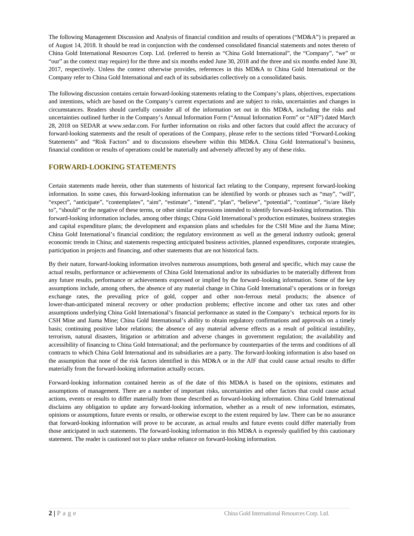The following Management Discussion and Analysis of financial condition and results of operations ("MD&A") is prepared as of August 14, 2018. It should be read in conjunction with the condensed consolidated financial statements and notes thereto of China Gold International Resources Corp. Ltd. (referred to herein as "China Gold International", the "Company", "we" or "our" as the context may require) for the three and six months ended June 30, 2018 and the three and six months ended June 30, 2017, respectively. Unless the context otherwise provides, references in this MD&A to China Gold International or the Company refer to China Gold International and each of its subsidiaries collectively on a consolidated basis.

The following discussion contains certain forward-looking statements relating to the Company's plans, objectives, expectations and intentions, which are based on the Company's current expectations and are subject to risks, uncertainties and changes in circumstances. Readers should carefully consider all of the information set out in this MD&A, including the risks and uncertainties outlined further in the Company's Annual Information Form ("Annual Information Form" or "AIF") dated March 28, 2018 on SEDAR at www.sedar.com. For further information on risks and other factors that could affect the accuracy of forward-looking statements and the result of operations of the Company, please refer to the sections titled "Forward-Looking Statements" and "Risk Factors" and to discussions elsewhere within this MD&A. China Gold International's business, financial condition or results of operations could be materially and adversely affected by any of these risks.

### <span id="page-3-0"></span>**FORWARD-LOOKING STATEMENTS**

Certain statements made herein, other than statements of historical fact relating to the Company, represent forward-looking information. In some cases, this forward-looking information can be identified by words or phrases such as "may", "will", "expect", "anticipate", "contemplates", "aim", "estimate", "intend", "plan", "believe", "potential", "continue", "is/are likely to", "should" or the negative of these terms, or other similar expressions intended to identify forward-looking information. This forward-looking information includes, among other things; China Gold International's production estimates, business strategies and capital expenditure plans; the development and expansion plans and schedules for the CSH Mine and the Jiama Mine; China Gold International's financial condition; the regulatory environment as well as the general industry outlook; general economic trends in China; and statements respecting anticipated business activities, planned expenditures, corporate strategies, participation in projects and financing, and other statements that are not historical facts.

By their nature, forward-looking information involves numerous assumptions, both general and specific, which may cause the actual results, performance or achievements of China Gold International and/or its subsidiaries to be materially different from any future results, performance or achievements expressed or implied by the forward–looking information. Some of the key assumptions include, among others, the absence of any material change in China Gold International's operations or in foreign exchange rates, the prevailing price of gold, copper and other non-ferrous metal products; the absence of lower-than-anticipated mineral recovery or other production problems; effective income and other tax rates and other assumptions underlying China Gold International's financial performance as stated in the Company's technical reports for its CSH Mine and Jiama Mine; China Gold International's ability to obtain regulatory confirmations and approvals on a timely basis; continuing positive labor relations; the absence of any material adverse effects as a result of political instability, terrorism, natural disasters, litigation or arbitration and adverse changes in government regulation; the availability and accessibility of financing to China Gold International; and the performance by counterparties of the terms and conditions of all contracts to which China Gold International and its subsidiaries are a party. The forward-looking information is also based on the assumption that none of the risk factors identified in this MD&A or in the AIF that could cause actual results to differ materially from the forward-looking information actually occurs.

Forward-looking information contained herein as of the date of this MD&A is based on the opinions, estimates and assumptions of management. There are a number of important risks, uncertainties and other factors that could cause actual actions, events or results to differ materially from those described as forward-looking information. China Gold International disclaims any obligation to update any forward-looking information, whether as a result of new information, estimates, opinions or assumptions, future events or results, or otherwise except to the extent required by law. There can be no assurance that forward-looking information will prove to be accurate, as actual results and future events could differ materially from those anticipated in such statements. The forward-looking information in this MD&A is expressly qualified by this cautionary statement. The reader is cautioned not to place undue reliance on forward-looking information.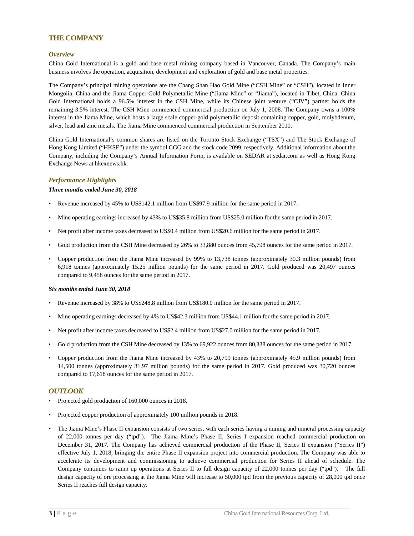### <span id="page-4-0"></span>**THE COMPANY**

#### <span id="page-4-1"></span>*Overview*

China Gold International is a gold and base metal mining company based in Vancouver, Canada. The Company's main business involves the operation, acquisition, development and exploration of gold and base metal properties.

The Company's principal mining operations are the Chang Shan Hao Gold Mine ("CSH Mine" or "CSH"), located in Inner Mongolia, China and the Jiama Copper-Gold Polymetallic Mine ("Jiama Mine" or "Jiama"), located in Tibet, China. China Gold International holds a 96.5% interest in the CSH Mine, while its Chinese joint venture ("CJV") partner holds the remaining 3.5% interest. The CSH Mine commenced commercial production on July 1, 2008. The Company owns a 100% interest in the Jiama Mine, which hosts a large scale copper-gold polymetallic deposit containing copper, gold, molybdenum, silver, lead and zinc metals. The Jiama Mine commenced commercial production in September 2010.

China Gold International's common shares are listed on the Toronto Stock Exchange ("TSX") and The Stock Exchange of Hong Kong Limited ("HKSE") under the symbol CGG and the stock code 2099, respectively. Additional information about the Company, including the Company's Annual Information Form, is available on SEDAR at sedar.com as well as Hong Kong Exchange News at hkexnews.hk.

#### <span id="page-4-2"></span>*Performance Highlights*

#### *Three months ended June 30, 2018*

- Revenue increased by 45% to US\$142.1 million from US\$97.9 million for the same period in 2017.
- Mine operating earnings increased by 43% to US\$35.8 million from US\$25.0 million for the same period in 2017.
- Net profit after income taxes decreased to US\$0.4 million from US\$20.6 million for the same period in 2017.
- Gold production from the CSH Mine decreased by 26% to 33,880 ounces from 45,798 ounces for the same period in 2017.
- Copper production from the Jiama Mine increased by 99% to 13,738 tonnes (approximately 30.3 million pounds) from 6,918 tonnes (approximately 15.25 million pounds) for the same period in 2017. Gold produced was 20,497 ounces compared to 9,458 ounces for the same period in 2017.

#### *Six months ended June 30, 2018*

- Revenue increased by 38% to US\$248.8 million from US\$180.0 million for the same period in 2017.
- Mine operating earnings decreased by 4% to US\$42.3 million from US\$44.1 million for the same period in 2017.
- Net profit after income taxes decreased to US\$2.4 million from US\$27.0 million for the same period in 2017.
- Gold production from the CSH Mine decreased by 13% to 69,922 ounces from 80,338 ounces for the same period in 2017.
- Copper production from the Jiama Mine increased by 43% to 20,799 tonnes (approximately 45.9 million pounds) from 14,500 tonnes (approximately 31.97 million pounds) for the same period in 2017. Gold produced was 30,720 ounces compared to 17,618 ounces for the same period in 2017.

#### <span id="page-4-3"></span>*OUTLOOK*

- Projected gold production of 160,000 ounces in 2018.
- Projected copper production of approximately 100 million pounds in 2018.
- The Jiama Mine's Phase II expansion consists of two series, with each series having a mining and mineral processing capacity of 22,000 tonnes per day ("tpd"). The Jiama Mine's Phase II, Series I expansion reached commercial production on December 31, 2017. The Company has achieved commercial production of the Phase II, Series II expansion ("Series II") effective July 1, 2018, bringing the entire Phase II expansion project into commercial production. The Company was able to accelerate its development and commissioning to achieve commercial production for Series II ahead of schedule. The Company continues to ramp up operations at Series II to full design capacity of 22,000 tonnes per day ("tpd"). The full design capacity of ore processing at the Jiama Mine will increase to 50,000 tpd from the previous capacity of 28,000 tpd once Series II reaches full design capacity.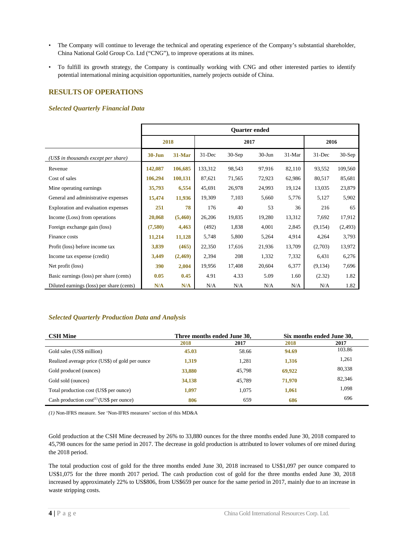- The Company will continue to leverage the technical and operating experience of the Company's substantial shareholder, China National Gold Group Co. Ltd ("CNG"), to improve operations at its mines.
- To fulfill its growth strategy, the Company is continually working with CNG and other interested parties to identify potential international mining acquisition opportunities, namely projects outside of China.

### <span id="page-5-0"></span>**RESULTS OF OPERATIONS**

#### <span id="page-5-1"></span>*Selected Quarterly Financial Data*

|                                           | <b>Quarter ended</b> |         |         |          |            |        |           |          |
|-------------------------------------------|----------------------|---------|---------|----------|------------|--------|-----------|----------|
|                                           | 2018                 |         |         |          | 2017       |        | 2016      |          |
| (US\$ in thousands except per share)      | $30 - Jun$           | 31-Mar  | 31-Dec  | $30-Sep$ | $30 - Jun$ | 31-Mar | $31$ -Dec | $30-Sep$ |
| Revenue                                   | 142,087              | 106,685 | 133,312 | 98,543   | 97,916     | 82,110 | 93,552    | 109,560  |
| Cost of sales                             | 106,294              | 100,131 | 87,621  | 71,565   | 72,923     | 62,986 | 80,517    | 85,681   |
| Mine operating earnings                   | 35,793               | 6,554   | 45,691  | 26,978   | 24,993     | 19,124 | 13,035    | 23,879   |
| General and administrative expenses       | 15,474               | 11,936  | 19,309  | 7,103    | 5,660      | 5,776  | 5,127     | 5,902    |
| Exploration and evaluation expenses       | 251                  | 78      | 176     | 40       | 53         | 36     | 216       | 65       |
| Income (Loss) from operations             | 20,068               | (5,460) | 26,206  | 19,835   | 19,280     | 13,312 | 7,692     | 17,912   |
| Foreign exchange gain (loss)              | (7,580)              | 4,463   | (492)   | 1,838    | 4,001      | 2,845  | (9,154)   | (2, 493) |
| Finance costs                             | 11,214               | 11,128  | 5,748   | 5,800    | 5,264      | 4,914  | 4,264     | 3,793    |
| Profit (loss) before income tax           | 3,839                | (465)   | 22,350  | 17,616   | 21,936     | 13,709 | (2,703)   | 13,972   |
| Income tax expense (credit)               | 3,449                | (2,469) | 2,394   | 208      | 1,332      | 7,332  | 6,431     | 6,276    |
| Net profit (loss)                         | 390                  | 2,004   | 19,956  | 17,408   | 20,604     | 6,377  | (9, 134)  | 7,696    |
| Basic earnings (loss) per share (cents)   | 0.05                 | 0.45    | 4.91    | 4.33     | 5.09       | 1.60   | (2.32)    | 1.82     |
| Diluted earnings (loss) per share (cents) | N/A                  | N/A     | N/A     | N/A      | N/A        | N/A    | N/A       | 1.82     |

### <span id="page-5-2"></span>*Selected Quarterly Production Data and Analysis*

| <b>CSH Mine</b>                                 | Three months ended June 30, |        |        | Six months ended June 30, |
|-------------------------------------------------|-----------------------------|--------|--------|---------------------------|
|                                                 | 2018                        | 2017   | 2018   | 2017                      |
| Gold sales (US\$ million)                       | 45.03                       | 58.66  | 94.69  | 103.86                    |
| Realized average price (US\$) of gold per ounce | 1,319                       | 1,281  | 1,316  | 1,261                     |
| Gold produced (ounces)                          | 33,880                      | 45,798 | 69,922 | 80,338                    |
| Gold sold (ounces)                              | 34,138                      | 45,789 | 71,970 | 82,346                    |
| Total production cost (US\$ per ounce)          | 1,097                       | 1.075  | 1,061  | 1,098                     |
| Cash production $cost^{(1)}$ (US\$ per ounce)   | 806                         | 659    | 686    | 696                       |

*(1)* Non-IFRS measure. See 'Non-IFRS measures' section of this MD&A

Gold production at the CSH Mine decreased by 26% to 33,880 ounces for the three months ended June 30, 2018 compared to 45,798 ounces for the same period in 2017. The decrease in gold production is attributed to lower volumes of ore mined during the 2018 period.

The total production cost of gold for the three months ended June 30, 2018 increased to US\$1,097 per ounce compared to US\$1,075 for the three month 2017 period. The cash production cost of gold for the three months ended June 30, 2018 increased by approximately 22% to US\$806, from US\$659 per ounce for the same period in 2017, mainly due to an increase in waste stripping costs.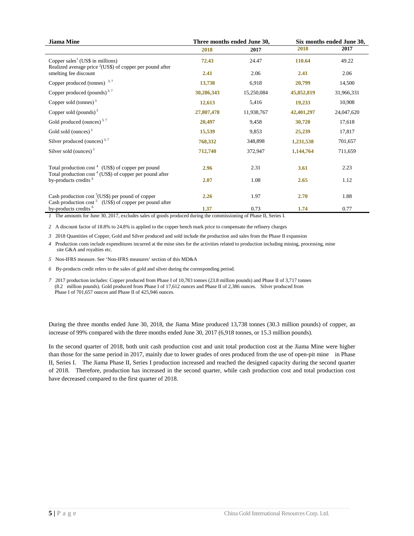| <b>Jiama Mine</b>                                                                                                               |            | Three months ended June 30, | Six months ended June 30, |            |  |
|---------------------------------------------------------------------------------------------------------------------------------|------------|-----------------------------|---------------------------|------------|--|
|                                                                                                                                 | 2018       | 2017                        | 2018                      | 2017       |  |
| Copper sales <sup>1</sup> (US\$ in millions)<br>Realized average price <sup>2</sup> (US\$) of copper per pound after            | 72.43      | 24.47                       | 110.64                    | 49.22      |  |
| smelting fee discount                                                                                                           | 2.41       | 2.06                        | 2.41                      | 2.06       |  |
| Copper produced (tonnes) $3,7$                                                                                                  | 13,738     | 6.918                       | 20,799                    | 14,500     |  |
| Copper produced (pounds) <sup>3,7</sup>                                                                                         | 30,286,343 | 15,250,084                  | 45,852,819                | 31,966,331 |  |
| Copper sold (tonnes) $3$                                                                                                        | 12,613     | 5,416                       | 19,233                    | 10,908     |  |
| Copper sold (pounds) $3$                                                                                                        | 27,807,478 | 11,938,767                  | 42,401,297                | 24,047,620 |  |
| Gold produced (ounces) <sup>3,7</sup>                                                                                           | 20,497     | 9,458                       | 30,720                    | 17,618     |  |
| Gold sold (ounces) $3$                                                                                                          | 15,539     | 9,853                       | 25,239                    | 17,817     |  |
| Silver produced (ounces) <sup>3,7</sup>                                                                                         | 768,332    | 348,898                     | 1,231,538                 | 701,657    |  |
| Silver sold (ounces) $3$                                                                                                        | 712,740    | 372,947                     | 1,144,764                 | 711,659    |  |
| Total production $\cos^4$ (US\$) of copper per pound<br>Total production $\cos t$ <sup>4</sup> (US\$) of copper per pound after | 2.96       | 2.31                        | 3.61                      | 2.23       |  |
| by-products credits <sup>6</sup>                                                                                                | 2.07       | 1.08                        | 2.65                      | 1.12       |  |
| Cash production cost $^5$ (US\$) per pound of copper<br>Cash production cost <sup>5</sup> (US\$) of copper per pound after      | 2.26       | 1.97                        | 2.70                      | 1.88       |  |
| by-products credits <sup>6</sup>                                                                                                | 1.37       | 0.73                        | 1.74                      | 0.77       |  |

*1* The amounts for June 30, 2017, excludes sales of goods produced during the commissioning of Phase II, Series I.

*2* A discount factor of 18.8% to 24.8% is applied to the copper bench mark price to compensate the refinery charges

*3* 2018 Quantities of Copper, Gold and Silver produced and sold include the production and sales from the Phase II expansion

*4* Production costs include expenditures incurred at the mine sites for the activities related to production including mining, processing, mine site G&A and royalties etc.

*5* Non-IFRS measure. See 'Non-IFRS measures' section of this MD&A

*6* By-products credit refers to the sales of gold and silver during the corresponding period.

*7* 2017 production includes: Copper produced from Phase I of 10,783 tonnes (23.8 million pounds) and Phase II of 3,717 tonnes (8.2 million pounds). Gold produced from Phase I of 17,612 ounces and Phase II of 2,386 ounces. Silver produced from Phase I of 701,657 ounces and Phase II of 425,946 ounces.

During the three months ended June 30, 2018, the Jiama Mine produced 13,738 tonnes (30.3 million pounds) of copper, an increase of 99% compared with the three months ended June 30, 2017 (6,918 tonnes, or 15.3 million pounds).

In the second quarter of 2018, both unit cash production cost and unit total production cost at the Jiama Mine were higher than those for the same period in 2017, mainly due to lower grades of ores produced from the use of open-pit mine in Phase II, Series I. The Jiama Phase II, Series I production increased and reached the designed capacity during the second quarter of 2018. Therefore, production has increased in the second quarter, while cash production cost and total production cost have decreased compared to the first quarter of 2018.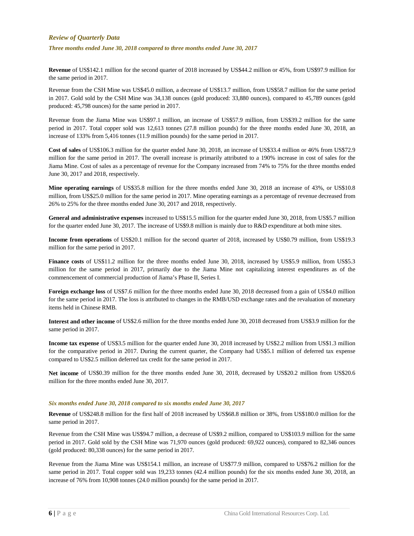### <span id="page-7-0"></span>*Review of Quarterly Data*

*Three months ended June 30, 2018 compared to three months ended June 30, 2017*

**Revenue** of US\$142.1 million for the second quarter of 2018 increased by US\$44.2 million or 45%, from US\$97.9 million for the same period in 2017.

Revenue from the CSH Mine was US\$45.0 million, a decrease of US\$13.7 million, from US\$58.7 million for the same period in 2017. Gold sold by the CSH Mine was 34,138 ounces (gold produced: 33,880 ounces), compared to 45,789 ounces (gold produced: 45,798 ounces) for the same period in 2017.

Revenue from the Jiama Mine was US\$97.1 million, an increase of US\$57.9 million, from US\$39.2 million for the same period in 2017. Total copper sold was 12,613 tonnes (27.8 million pounds) for the three months ended June 30, 2018, an increase of 133% from 5,416 tonnes (11.9 million pounds) for the same period in 2017.

**Cost of sales** of US\$106.3 million for the quarter ended June 30, 2018, an increase of US\$33.4 million or 46% from US\$72.9 million for the same period in 2017. The overall increase is primarily attributed to a 190% increase in cost of sales for the Jiama Mine. Cost of sales as a percentage of revenue for the Company increased from 74% to 75% for the three months ended June 30, 2017 and 2018, respectively.

**Mine operating earnings** of US\$35.8 million for the three months ended June 30, 2018 an increase of 43%, or US\$10.8 million, from US\$25.0 million for the same period in 2017. Mine operating earnings as a percentage of revenue decreased from 26% to 25% for the three months ended June 30, 2017 and 2018, respectively.

**General and administrative expenses** increased to US\$15.5 million for the quarter ended June 30, 2018, from US\$5.7 million for the quarter ended June 30, 2017. The increase of US\$9.8 million is mainly due to R&D expenditure at both mine sites.

**Income from operations** of US\$20.1 million for the second quarter of 2018, increased by US\$0.79 million, from US\$19.3 million for the same period in 2017.

Finance costs of US\$11.2 million for the three months ended June 30, 2018, increased by US\$5.9 million, from US\$5.3 million for the same period in 2017, primarily due to the Jiama Mine not capitalizing interest expenditures as of the commencement of commercial production of Jiama's Phase II, Series I.

**Foreign exchange loss** of US\$7.6 million for the three months ended June 30, 2018 decreased from a gain of US\$4.0 million for the same period in 2017. The loss is attributed to changes in the RMB/USD exchange rates and the revaluation of monetary items held in Chinese RMB.

**Interest and other income** of US\$2.6 million for the three months ended June 30, 2018 decreased from US\$3.9 million for the same period in 2017.

**Income tax expense** of US\$3.5 million for the quarter ended June 30, 2018 increased by US\$2.2 million from US\$1.3 million for the comparative period in 2017. During the current quarter, the Company had US\$5.1 million of deferred tax expense compared to US\$2.5 million deferred tax credit for the same period in 2017.

**Net income** of US\$0.39 million for the three months ended June 30, 2018, decreased by US\$20.2 million from US\$20.6 million for the three months ended June 30, 2017.

#### *Six months ended June 30, 2018 compared to six months ended June 30, 2017*

**Revenue** of US\$248.8 million for the first half of 2018 increased by US\$68.8 million or 38%, from US\$180.0 million for the same period in 2017.

Revenue from the CSH Mine was US\$94.7 million, a decrease of US\$9.2 million, compared to US\$103.9 million for the same period in 2017. Gold sold by the CSH Mine was 71,970 ounces (gold produced: 69,922 ounces), compared to 82,346 ounces (gold produced: 80,338 ounces) for the same period in 2017.

Revenue from the Jiama Mine was US\$154.1 million, an increase of US\$77.9 million, compared to US\$76.2 million for the same period in 2017. Total copper sold was 19,233 tonnes (42.4 million pounds) for the six months ended June 30, 2018, an increase of 76% from 10,908 tonnes (24.0 million pounds) for the same period in 2017.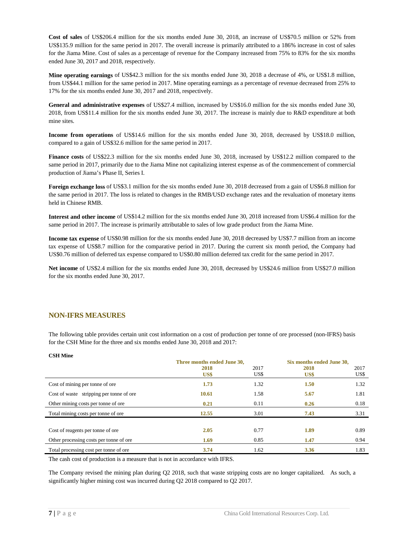**Cost of sales** of US\$206.4 million for the six months ended June 30, 2018, an increase of US\$70.5 million or 52% from US\$135.9 million for the same period in 2017. The overall increase is primarily attributed to a 186% increase in cost of sales for the Jiama Mine. Cost of sales as a percentage of revenue for the Company increased from 75% to 83% for the six months ended June 30, 2017 and 2018, respectively.

**Mine operating earnings** of US\$42.3 million for the six months ended June 30, 2018 a decrease of 4%, or US\$1.8 million, from US\$44.1 million for the same period in 2017. Mine operating earnings as a percentage of revenue decreased from 25% to 17% for the six months ended June 30, 2017 and 2018, respectively.

**General and administrative expenses** of US\$27.4 million, increased by US\$16.0 million for the six months ended June 30, 2018, from US\$11.4 million for the six months ended June 30, 2017. The increase is mainly due to R&D expenditure at both mine sites.

**Income from operations** of US\$14.6 million for the six months ended June 30, 2018, decreased by US\$18.0 million, compared to a gain of US\$32.6 million for the same period in 2017.

**Finance costs** of US\$22.3 million for the six months ended June 30, 2018, increased by US\$12.2 million compared to the same period in 2017, primarily due to the Jiama Mine not capitalizing interest expense as of the commencement of commercial production of Jiama's Phase II, Series I.

**Foreign exchange loss** of US\$3.1 million for the six months ended June 30, 2018 decreased from a gain of US\$6.8 million for the same period in 2017. The loss is related to changes in the RMB/USD exchange rates and the revaluation of monetary items held in Chinese RMB.

**Interest and other income** of US\$14.2 million for the six months ended June 30, 2018 increased from US\$6.4 million for the same period in 2017. The increase is primarily attributable to sales of low grade product from the Jiama Mine.

**Income tax expense** of US\$0.98 million for the six months ended June 30, 2018 decreased by US\$7.7 million from an income tax expense of US\$8.7 million for the comparative period in 2017. During the current six month period, the Company had US\$0.76 million of deferred tax expense compared to US\$0.80 million deferred tax credit for the same period in 2017.

**Net income** of US\$2.4 million for the six months ended June 30, 2018, decreased by US\$24.6 million from US\$27.0 million for the six months ended June 30, 2017.

### <span id="page-8-0"></span>**NON-IFRS MEASURES**

The following table provides certain unit cost information on a cost of production per tonne of ore processed (non-IFRS) basis for the CSH Mine for the three and six months ended June 30, 2018 and 2017:

| <b>CSH Mine</b>                          |                             |                           |      |      |
|------------------------------------------|-----------------------------|---------------------------|------|------|
|                                          | Three months ended June 30, | Six months ended June 30, |      |      |
|                                          | 2018                        | 2017                      | 2018 | 2017 |
|                                          | US\$                        | US\$                      | US\$ | US\$ |
| Cost of mining per tonne of ore          | 1.73                        | 1.32                      | 1.50 | 1.32 |
| Cost of waste stripping per tonne of ore | 10.61                       | 1.58                      | 5.67 | 1.81 |
| Other mining costs per tonne of ore      | 0.21                        | 0.11                      | 0.26 | 0.18 |
| Total mining costs per tonne of ore      | 12.55                       | 3.01                      | 7.43 | 3.31 |
|                                          |                             |                           |      |      |
| Cost of reagents per tonne of ore        | 2.05                        | 0.77                      | 1.89 | 0.89 |
| Other processing costs per tonne of ore  | 1.69                        | 0.85                      | 1.47 | 0.94 |
| Total processing cost per tonne of ore.  | 3.74                        | 1.62                      | 3.36 | 1.83 |

The cash cost of production is a measure that is not in accordance with IFRS.

The Company revised the mining plan during Q2 2018, such that waste stripping costs are no longer capitalized. As such, a significantly higher mining cost was incurred during Q2 2018 compared to Q2 2017.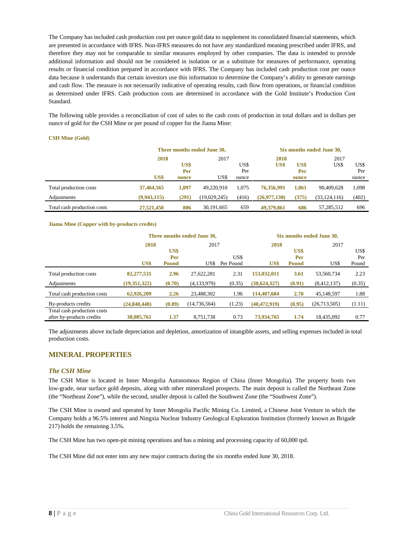The Company has included cash production cost per ounce gold data to supplement its consolidated financial statements, which are presented in accordance with IFRS. Non-IFRS measures do not have any standardized meaning prescribed under IFRS, and therefore they may not be comparable to similar measures employed by other companies. The data is intended to provide additional information and should not be considered in isolation or as a substitute for measures of performance, operating results or financial condition prepared in accordance with IFRS. The Company has included cash production cost per ounce data because it understands that certain investors use this information to determine the Company's ability to generate earnings and cash flow. The measure is not necessarily indicative of operating results, cash flow from operations, or financial condition as determined under IFRS. Cash production costs are determined in accordance with the Gold Institute's Production Cost Standard.

The following table provides a reconciliation of cost of sales to the cash costs of production in total dollars and in dollars per ounce of gold for the CSH Mine or per pound of copper for the Jiama Mine:

#### **CSH Mine (Gold)**

|                             | Three months ended June 30, |       |              |       | Six months ended June 30, |       |                |       |
|-----------------------------|-----------------------------|-------|--------------|-------|---------------------------|-------|----------------|-------|
|                             | 2018                        |       | 2017         |       | 2018                      |       | 2017           |       |
|                             |                             | US\$  |              | US\$  | US\$                      | US\$  | US\$           | US\$  |
|                             |                             | Per   |              | Per   |                           | Per   |                | Per   |
|                             | US\$                        | ounce | US\$         | ounce |                           | ounce |                | ounce |
| Total production costs      | 37,464,565                  | 1.097 | 49.220.910   | 1.075 | 76,356,991                | 1.061 | 90.409.628     | 1,098 |
| Adjustments                 | (9,943,115)                 | (291) | (19,029,245) | (416) | (26,977,130)              | (375) | (33, 124, 116) | (402) |
| Total cash production costs | 27,521,450                  | 806   | 30.191.665   | 659   | 49,379,861                | 686   | 57,285,512     | 696   |

#### **Jiama Mine (Copper with by-products credits)**

|                                                          | Three months ended June 30, |              |                |           | Six months ended June 30, |              |              |        |
|----------------------------------------------------------|-----------------------------|--------------|----------------|-----------|---------------------------|--------------|--------------|--------|
|                                                          | 2018                        |              | 2017           |           | 2018                      |              | 2017         |        |
|                                                          |                             | US\$         |                |           |                           | US\$         |              | US\$   |
|                                                          |                             | Per          |                | US\$      |                           | Per          |              | Per    |
|                                                          | US\$                        | <b>Pound</b> | US\$           | Per Pound | US\$                      | <b>Pound</b> | US\$         | Pound  |
| Total production costs                                   | 82,277,531                  | 2.96         | 27,622,281     | 2.31      | 153,032,011               | 3.61         | 53,560,734   | 2.23   |
| Adjustments                                              | (19,351,322)                | (0.70)       | (4,133,979)    | (0.35)    | (38, 624, 327)            | (0.91)       | (8,412,137)  | (0.35) |
| Total cash production costs                              | 62,926,209                  | 2.26         | 23,488,302     | 1.96      | 114,407,684               | 2.70         | 45,148,597   | 1.88   |
| By-products credits                                      | (24, 840, 448)              | (0.89)       | (14, 736, 564) | (1.23)    | (40, 472, 919)            | (0.95)       | (26,713,505) | (1.11) |
| Total cash production costs<br>after by-products credits | 38,085,761                  | 1.37         | 8,751,738      | 0.73      | 73,934,765                | 1.74         | 18.435.092   | 0.77   |

The adjustments above include depreciation and depletion, amortization of intangible assets, and selling expenses included in total production costs.

### <span id="page-9-0"></span>**MINERAL PROPERTIES**

#### <span id="page-9-1"></span>*The CSH Mine*

The CSH Mine is located in Inner Mongolia Autonomous Region of China (Inner Mongolia). The property hosts two low-grade, near surface gold deposits, along with other mineralized prospects. The main deposit is called the Northeast Zone (the "Northeast Zone"), while the second, smaller deposit is called the Southwest Zone (the "Southwest Zone").

The CSH Mine is owned and operated by Inner Mongolia Pacific Mining Co. Limited, a Chinese Joint Venture in which the Company holds a 96.5% interest and Ningxia Nuclear Industry Geological Exploration Institution (formerly known as Brigade 217) holds the remaining 3.5%.

The CSH Mine has two open-pit mining operations and has a mining and processing capacity of 60,000 tpd.

The CSH Mine did not enter into any new major contracts during the six months ended June 30, 2018.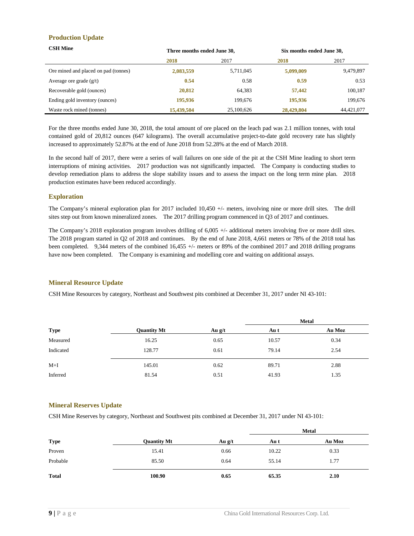### **Production Update**

| <b>CSH Mine</b>                      | Three months ended June 30, |            | Six months ended June 30, |            |
|--------------------------------------|-----------------------------|------------|---------------------------|------------|
|                                      | 2018                        | 2017       | 2018                      | 2017       |
| Ore mined and placed on pad (tonnes) | 2,083,559                   | 5,711,045  | 5,099,009                 | 9,479,897  |
| Average ore grade $(g/t)$            | 0.54                        | 0.58       | 0.59                      | 0.53       |
| Recoverable gold (ounces)            | 20,812                      | 64,383     | 57,442                    | 100,187    |
| Ending gold inventory (ounces)       | 195,936                     | 199,676    | 195,936                   | 199,676    |
| Waste rock mined (tonnes)            | 15,439,504                  | 25,100,626 | 28,429,804                | 44.421.077 |

For the three months ended June 30, 2018, the total amount of ore placed on the leach pad was 2.1 million tonnes, with total contained gold of 20,812 ounces (647 kilograms). The overall accumulative project-to-date gold recovery rate has slightly increased to approximately 52.87% at the end of June 2018 from 52.28% at the end of March 2018.

In the second half of 2017, there were a series of wall failures on one side of the pit at the CSH Mine leading to short term interruptions of mining activities. 2017 production was not significantly impacted. The Company is conducting studies to develop remediation plans to address the slope stability issues and to assess the impact on the long term mine plan. 2018 production estimates have been reduced accordingly.

#### **Exploration**

The Company's mineral exploration plan for 2017 included 10,450 +/- meters, involving nine or more drill sites. The drill sites step out from known mineralized zones. The 2017 drilling program commenced in Q3 of 2017 and continues.

The Company's 2018 exploration program involves drilling of 6,005 +/- additional meters involving five or more drill sites. The 2018 program started in Q2 of 2018 and continues. By the end of June 2018, 4,661 meters or 78% of the 2018 total has been completed. 9,344 meters of the combined 16,455 +/- meters or 89% of the combined 2017 and 2018 drilling programs have now been completed. The Company is examining and modelling core and waiting on additional assays.

### **Mineral Resource Update**

CSH Mine Resources by category, Northeast and Southwest pits combined at December 31, 2017 under NI 43-101:

|             |                    |          |       | <b>Metal</b> |
|-------------|--------------------|----------|-------|--------------|
| <b>Type</b> | <b>Quantity Mt</b> | Au $g/t$ | Au t  | Au Moz       |
| Measured    | 16.25              | 0.65     | 10.57 | 0.34         |
| Indicated   | 128.77             | 0.61     | 79.14 | 2.54         |
| $M+I$       | 145.01             | 0.62     | 89.71 | 2.88         |
| Inferred    | 81.54              | 0.51     | 41.93 | 1.35         |

#### **Mineral Reserves Update**

CSH Mine Reserves by category, Northeast and Southwest pits combined at December 31, 2017 under NI 43-101:

|              |                    |          |       | <b>Metal</b> |
|--------------|--------------------|----------|-------|--------------|
| <b>Type</b>  | <b>Quantity Mt</b> | Au $g/t$ | Au t  | Au Moz       |
| Proven       | 15.41              | 0.66     | 10.22 | 0.33         |
| Probable     | 85.50              | 0.64     | 55.14 | 1.77         |
| <b>Total</b> | 100.90             | 0.65     | 65.35 | 2.10         |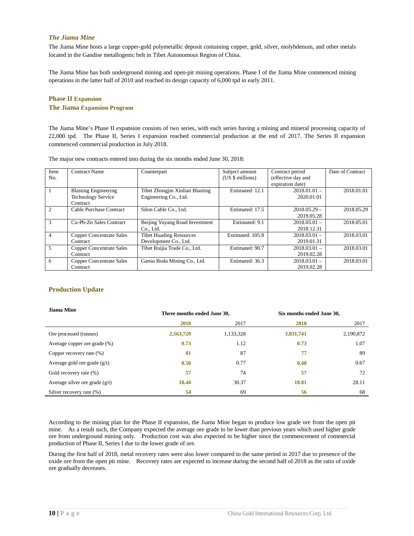#### <span id="page-11-0"></span>*The Jiama Mine*

The Jiama Mine hosts a large copper-gold polymetallic deposit containing copper, gold, silver, molybdenum, and other metals located in the Gandise metallogenic belt in Tibet Autonomous Region of China.

The Jiama Mine has both underground mining and open-pit mining operations. Phase I of the Jiama Mine commenced mining operations in the latter half of 2010 and reached its design capacity of 6,000 tpd in early 2011.

### **Phase II Expansion The Jiama Expansion Program**

The Jiama Mine's Phase II expansion consists of two series, with each series having a mining and mineral processing capacity of 22,000 tpd. The Phase II, Series I expansion reached commercial production at the end of 2017. The Series II expansion commenced commercial production in July 2018.

| Item                          | <b>Contract Name</b>            | Counterpart                     | Subject amount   | Contract period    | Date of Contract |
|-------------------------------|---------------------------------|---------------------------------|------------------|--------------------|------------------|
| No.                           |                                 |                                 | (US \$ millions) | (effective day and |                  |
|                               |                                 |                                 |                  | expiration date)   |                  |
|                               | <b>Blasting Engineering</b>     | Tibet Zhongjin Xinlian Blasting | Estimated: 12.1  | $2018.01.01 -$     | 2018.01.01       |
|                               | <b>Technology Service</b>       | Engineering Co., Ltd.           |                  | 2020.01.01         |                  |
|                               | Contract                        |                                 |                  |                    |                  |
| $\mathfrak{D}_{\mathfrak{p}}$ | Cable Purchase Contract         | Silon Cable Co., Ltd.           | Estimated: 17.5  | $2018.05.29 -$     | 2018.05.29       |
|                               |                                 |                                 |                  | 2019.05.28         |                  |
| 3                             | Cu-Pb-Zn Sales Contract         | Beijing Yuyang Road Investment  | Estimated: 9.1   | $2018.05.01 -$     | 2018.05.01       |
|                               |                                 | Co., Ltd.                       |                  | 2018.12.31         |                  |
| $\overline{4}$                | <b>Copper Concentrate Sales</b> | <b>Tibet Huading Resources</b>  | Estimated: 105.8 | $2018.03.01 -$     | 2018.03.01       |
|                               | Contract                        | Development Co., Ltd.           |                  | 2019.01.31         |                  |
| 5                             | <b>Copper Concentrate Sales</b> | Tibet Ruijia Trade Co., Ltd.    | Estimated: 90.7  | $2018.03.01 -$     | 2018.03.01       |
|                               | Contract                        |                                 |                  | 2019.02.28         |                  |
| 6                             | <b>Copper Concentrate Sales</b> | Gansu Boda Mining Co., Ltd.     | Estimated: 36.3  | $2018.03.01 -$     | 2018.03.01       |
|                               | Contract                        |                                 |                  | 2019.02.28         |                  |

The major new contracts entered into during the six months ended June 30, 2018:

### **Production Update**

| <b>Jiama Mine</b>                | Three months ended June 30, |           | Six months ended June 30, |           |
|----------------------------------|-----------------------------|-----------|---------------------------|-----------|
|                                  | 2018                        | 2017      | 2018                      | 2017      |
| Ore processed (tonnes)           | 2,563,720                   | 1,133,328 | 3,831,741                 | 2,190,872 |
| Average copper ore grade (%)     | 0.73                        | 1.12      | 0.73                      | 1.07      |
| Copper recovery rate (%)         | 81                          | 87        | 77                        | 89        |
| Average gold ore grade $(g/t)$   | 0.50                        | 0.77      | 0.48                      | 0.67      |
| Gold recovery rate (%)           | 57                          | 74        | 57                        | 72        |
| Average silver ore grade $(g/t)$ | 18.44                       | 30.37     | 18.81                     | 28.11     |
| Silver recovery rate (%)         | 54                          | 69        | 56                        | 68        |

According to the mining plan for the Phase II expansion, the Jiama Mine began to produce low grade ore from the open pit mine. As a result such, the Company expected the average ore grade to be lower than previous years which used higher grade ore from underground mining only. Production cost was also expected to be higher since the commencement of commercial production of Phase II, Series I due to the lower grade of ore.

During the first half of 2018, metal recovery rates were also lower compared to the same period in 2017 due to presence of the oxide ore from the open pit mine. Recovery rates are expected to increase during the second half of 2018 as the ratio of oxide ore gradually decreases.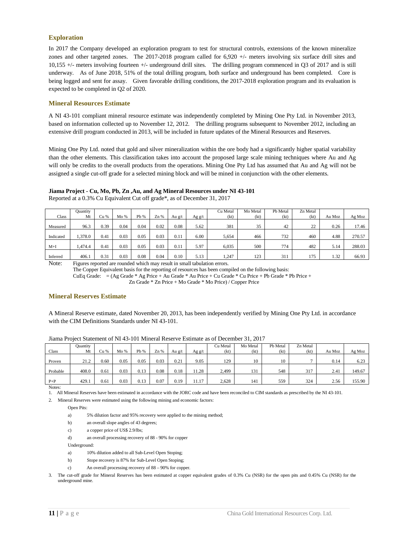### **Exploration**

In 2017 the Company developed an exploration program to test for structural controls, extensions of the known mineralize zones and other targeted zones. The 2017-2018 program called for 6,920 +/- meters involving six surface drill sites and 10,155 +/- meters involving fourteen +/- underground drill sites. The drilling program commenced in Q3 of 2017 and is still underway. As of June 2018, 51% of the total drilling program, both surface and underground has been completed. Core is being logged and sent for assay. Given favorable drilling conditions, the 2017-2018 exploration program and its evaluation is expected to be completed in Q2 of 2020.

#### **Mineral Resources Estimate**

A NI 43-101 compliant mineral resource estimate was independently completed by Mining One Pty Ltd. in November 2013, based on information collected up to November 12, 2012. The drilling programs subsequent to November 2012, including an extensive drill program conducted in 2013, will be included in future updates of the Mineral Resources and Reserves.

Mining One Pty Ltd. noted that gold and silver mineralization within the ore body had a significantly higher spatial variability than the other elements. This classification takes into account the proposed large scale mining techniques where Au and Ag will only be credits to the overall products from the operations. Mining One Pty Ltd has assumed that Au and Ag will not be assigned a single cut-off grade for a selected mining block and will be mined in conjunction with the other elements.

# **Jiama Project - Cu, Mo, Pb, Zn ,Au, and Ag Mineral Resources under NI 43-101**

|           | Ouantity |      |      |      |      |        |        | Cu Metal | Mo Metal | Pb Metal | Zn Metal |        |        |
|-----------|----------|------|------|------|------|--------|--------|----------|----------|----------|----------|--------|--------|
| Class     | Mt       | Cu % | Mo % | Pb % | Zn%  | Au g/t | Ag g/t | (kt)     | (kt)     | (kt)     | (kt)     | Au Moz | Ag Moz |
|           |          |      |      |      |      |        |        |          |          |          |          |        |        |
| Measured  | 96.3     | 0.39 | 0.04 | 0.04 | 0.02 | 0.08   | 5.62   | 381      | 35       | 42       | 22       | 0.26   | 17.46  |
|           |          |      |      |      |      |        |        |          |          |          |          |        |        |
| Indicated | 1.378.0  | 0.41 | 0.03 | 0.05 | 0.03 | 0.11   | 6.00   | 5,654    | 466      | 732      | 460      | 4.88   | 270.57 |
|           |          |      |      |      |      |        |        |          |          |          |          |        |        |
| $M+I$     | 474.4ء   | 0.41 | 0.03 | 0.05 | 0.03 | 0.11   | 5.97   | 6.035    | 500      | 774      | 482      | 5.14   | 288.03 |
|           |          |      |      |      |      |        |        |          |          |          |          |        |        |
| Inferred  | 406.1    | 0.31 | 0.03 | 0.08 | 0.04 | 0.10   | 5.13   | .247     | 123      | 311      | 175      | 1.32   | 66.93  |

Reported at a 0.3% Cu Equivalent Cut off grade\*, as of December 31, 2017

Note: Figures reported are rounded which may result in small tabulation errors.

The Copper Equivalent basis for the reporting of resources has been compiled on the following basis:

CuEq Grade: = (Ag Grade \* Ag Price + Au Grade \* Au Price + Cu Grade \* Cu Price + Pb Grade \* Pb Price +

Zn Grade \* Zn Price + Mo Grade \* Mo Price) / Copper Price

### **Mineral Reserves Estimate**

A Mineral Reserve estimate, dated November 20, 2013, has been independently verified by Mining One Pty Ltd. in accordance with the CIM Definitions Standards under NI 43-101.

| Class    | Quantity<br>Mt | Cu % | Mo % | Pb % | Zn%  | Au g/t | Ag g/t | Cu Metal<br>(kt) | Mo Metal<br>(kt) | Pb Metal<br>(kt) | Zn Metal<br>(kt) | Au Moz | Ag Moz |
|----------|----------------|------|------|------|------|--------|--------|------------------|------------------|------------------|------------------|--------|--------|
| Proven   | 21.2           | 0.60 | 0.05 | 0.05 | 0.03 | 0.21   | 9.05   | 129              | 10               | 10               |                  | 0.14   | 6.23   |
| Probable | 408.0          | 0.61 | 0.03 | 0.13 | 0.08 | 0.18   | 1.28   | 2,499            | 131              | 548              | 317              | 2.41   | 149.67 |
| $P + P$  | 429.1          | 0.61 | 0.03 | 0.13 | 0.07 | 0.19   | 11.17  | 2,628            | 141              | 559              | 324              | 2.56   | 155.90 |

Jiama Project Statement of NI 43-101 Mineral Reserve Estimate as of December 31, 2017

Notes:

1. All Mineral Reserves have been estimated in accordance with the JORC code and have been reconciled to CIM standards as prescribed by the NI 43-101.

2. Mineral Reserves were estimated using the following mining and economic factors:

Open Pits:

- a) 5% dilution factor and 95% recovery were applied to the mining method;
- b) an overall slope angles of 43 degrees;
- c) a copper price of US\$ 2.9/lbs;
- d) an overall processing recovery of 88 90% for copper

Underground:

- a) 10% dilution added to all Sub-Level Open Stoping;
- b) Stope recovery is 87% for Sub-Level Open Stoping;
- c) An overall processing recovery of 88 90% for copper.

3. The cut-off grade for Mineral Reserves has been estimated at copper equivalent grades of 0.3% Cu (NSR) for the open pits and 0.45% Cu (NSR) for the underground mine.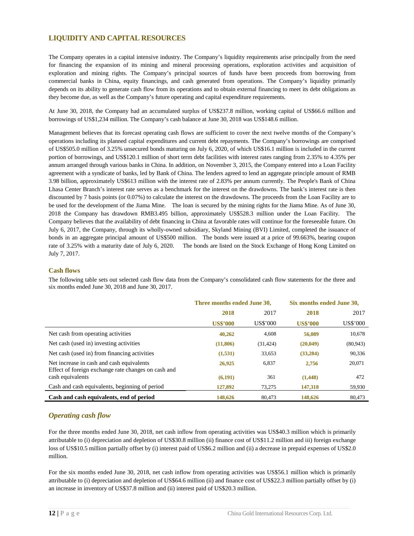### <span id="page-13-0"></span>**LIQUIDITY AND CAPITAL RESOURCES**

The Company operates in a capital intensive industry. The Company's liquidity requirements arise principally from the need for financing the expansion of its mining and mineral processing operations, exploration activities and acquisition of exploration and mining rights. The Company's principal sources of funds have been proceeds from borrowing from commercial banks in China, equity financings, and cash generated from operations. The Company's liquidity primarily depends on its ability to generate cash flow from its operations and to obtain external financing to meet its debt obligations as they become due, as well as the Company's future operating and capital expenditure requirements.

At June 30, 2018, the Company had an accumulated surplus of US\$237.8 million, working capital of US\$66.6 million and borrowings of US\$1,234 million. The Company's cash balance at June 30, 2018 was US\$148.6 million.

Management believes that its forecast operating cash flows are sufficient to cover the next twelve months of the Company's operations including its planned capital expenditures and current debt repayments. The Company's borrowings are comprised of US\$505.0 million of 3.25% unsecured bonds maturing on July 6, 2020, of which US\$16.1 million is included in the current portion of borrowings, and US\$120.1 million of short term debt facilities with interest rates ranging from 2.35% to 4.35% per annum arranged through various banks in China. In addition, on November 3, 2015, the Company entered into a Loan Facility agreement with a syndicate of banks, led by Bank of China. The lenders agreed to lend an aggregate principle amount of RMB 3.98 billion, approximately US\$613 million with the interest rate of 2.83% per annum currently. The People's Bank of China Lhasa Center Branch's interest rate serves as a benchmark for the interest on the drawdowns. The bank's interest rate is then discounted by 7 basis points (or 0.07%) to calculate the interest on the drawdowns. The proceeds from the Loan Facility are to be used for the development of the Jiama Mine. The loan is secured by the mining rights for the Jiama Mine. As of June 30, 2018 the Company has drawdown RMB3.495 billion, approximately US\$528.3 million under the Loan Facility. The Company believes that the availability of debt financing in China at favorable rates will continue for the foreseeable future. On July 6, 2017, the Company, through its wholly-owned subsidiary, Skyland Mining (BVI) Limited, completed the issuance of bonds in an aggregate principal amount of US\$500 million. The bonds were issued at a price of 99.663%, bearing coupon rate of 3.25% with a maturity date of July 6, 2020. The bonds are listed on the Stock Exchange of Hong Kong Limited on July 7, 2017.

#### <span id="page-13-1"></span>**Cash flows**

The following table sets out selected cash flow data from the Company's consolidated cash flow statements for the three and six months ended June 30, 2018 and June 30, 2017.

|                                                                                                  | Three months ended June 30, |           | Six months ended June 30, |           |
|--------------------------------------------------------------------------------------------------|-----------------------------|-----------|---------------------------|-----------|
|                                                                                                  | 2018                        | 2017      | 2018                      | 2017      |
|                                                                                                  | <b>US\$'000</b>             | US\$'000  | <b>US\$'000</b>           | US\$'000  |
| Net cash from operating activities                                                               | 40,262                      | 4,608     | 56,089                    | 10,678    |
| Net cash (used in) investing activities                                                          | (11,806)                    | (31, 424) | (20, 049)                 | (80, 943) |
| Net cash (used in) from financing activities                                                     | (1,531)                     | 33,653    | (33, 284)                 | 90,336    |
| Net increase in cash and cash equivalents<br>Effect of foreign exchange rate changes on cash and | 26,925                      | 6,837     | 2,756                     | 20,071    |
| cash equivalents                                                                                 | (6,191)                     | 361       | (1,448)                   | 472       |
| Cash and cash equivalents, beginning of period                                                   | 127,892                     | 73,275    | 147,318                   | 59,930    |
| Cash and cash equivalents, end of period                                                         | 148,626                     | 80,473    | 148,626                   | 80,473    |

### <span id="page-13-2"></span>*Operating cash flow*

For the three months ended June 30, 2018, net cash inflow from operating activities was US\$40.3 million which is primarily attributable to (i) depreciation and depletion of US\$30.8 million (ii) finance cost of US\$11.2 million and iii) foreign exchange loss of US\$10.5 million partially offset by (i) interest paid of US\$6.2 million and (ii) a decrease in prepaid expenses of US\$2.0 million.

For the six months ended June 30, 2018, net cash inflow from operating activities was US\$56.1 million which is primarily attributable to (i) depreciation and depletion of US\$64.6 million (ii) and finance cost of US\$22.3 million partially offset by (i) an increase in inventory of US\$37.8 million and (ii) interest paid of US\$20.3 million.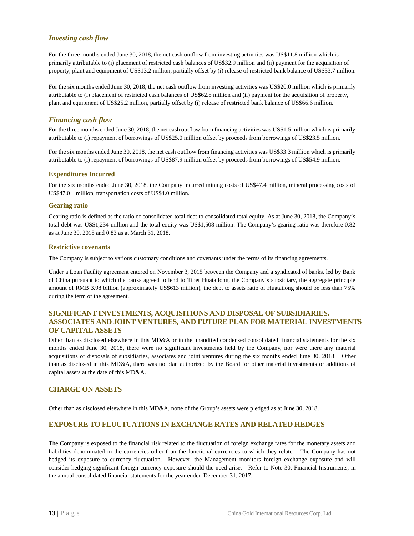### <span id="page-14-0"></span>*Investing cash flow*

For the three months ended June 30, 2018, the net cash outflow from investing activities was US\$11.8 million which is primarily attributable to (i) placement of restricted cash balances of US\$32.9 million and (ii) payment for the acquisition of property, plant and equipment of US\$13.2 million, partially offset by (i) release of restricted bank balance of US\$33.7 million.

For the six months ended June 30, 2018, the net cash outflow from investing activities was US\$20.0 million which is primarily attributable to (i) placement of restricted cash balances of US\$62.8 million and (ii) payment for the acquisition of property, plant and equipment of US\$25.2 million, partially offset by (i) release of restricted bank balance of US\$66.6 million.

### <span id="page-14-1"></span>*Financing cash flow*

For the three months ended June 30, 2018, the net cash outflow from financing activities was US\$1.5 million which is primarily attributable to (i) repayment of borrowings of US\$25.0 million offset by proceeds from borrowings of US\$23.5 million.

For the six months ended June 30, 2018, the net cash outflow from financing activities was US\$33.3 million which is primarily attributable to (i) repayment of borrowings of US\$87.9 million offset by proceeds from borrowings of US\$54.9 million.

#### **Expenditures Incurred**

For the six months ended June 30, 2018, the Company incurred mining costs of US\$47.4 million, mineral processing costs of US\$47.0 million, transportation costs of US\$4.0 million.

#### **Gearing ratio**

Gearing ratio is defined as the ratio of consolidated total debt to consolidated total equity. As at June 30, 2018, the Company's total debt was US\$1,234 million and the total equity was US\$1,508 million. The Company's gearing ratio was therefore 0.82 as at June 30, 2018 and 0.83 as at March 31, 2018.

#### **Restrictive covenants**

The Company is subject to various customary conditions and covenants under the terms of its financing agreements.

Under a Loan Facility agreement entered on November 3, 2015 between the Company and a syndicated of banks, led by Bank of China pursuant to which the banks agreed to lend to Tibet Huatailong, the Company's subsidiary, the aggregate principle amount of RMB 3.98 billion (approximately US\$613 million), the debt to assets ratio of Huatailong should be less than 75% during the term of the agreement.

### <span id="page-14-2"></span>**SIGNIFICANT INVESTMENTS, ACQUISITIONS AND DISPOSAL OF SUBSIDIARIES. ASSOCIATES AND JOINT VENTURES, AND FUTURE PLAN FOR MATERIAL INVESTMENTS OF CAPITAL ASSETS**

Other than as disclosed elsewhere in this MD&A or in the unaudited condensed consolidated financial statements for the six months ended June 30, 2018, there were no significant investments held by the Company, nor were there any material acquisitions or disposals of subsidiaries, associates and joint ventures during the six months ended June 30, 2018. Other than as disclosed in this MD&A, there was no plan authorized by the Board for other material investments or additions of capital assets at the date of this MD&A.

### <span id="page-14-3"></span>**CHARGE ON ASSETS**

<span id="page-14-4"></span>Other than as disclosed elsewhere in this MD&A, none of the Group's assets were pledged as at June 30, 2018.

### **EXPOSURE TO FLUCTUATIONS IN EXCHANGE RATES AND RELATED HEDGES**

The Company is exposed to the financial risk related to the fluctuation of foreign exchange rates for the monetary assets and liabilities denominated in the currencies other than the functional currencies to which they relate. The Company has not hedged its exposure to currency fluctuation. However, the Management monitors foreign exchange exposure and will consider hedging significant foreign currency exposure should the need arise. Refer to Note 30, Financial Instruments, in the annual consolidated financial statements for the year ended December 31, 2017.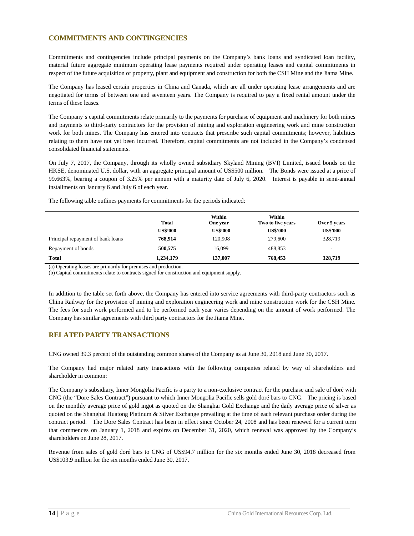### <span id="page-15-0"></span>**COMMITMENTS AND CONTINGENCIES**

Commitments and contingencies include principal payments on the Company's bank loans and syndicated loan facility, material future aggregate minimum operating lease payments required under operating leases and capital commitments in respect of the future acquisition of property, plant and equipment and construction for both the CSH Mine and the Jiama Mine.

The Company has leased certain properties in China and Canada, which are all under operating lease arrangements and are negotiated for terms of between one and seventeen years. The Company is required to pay a fixed rental amount under the terms of these leases.

The Company's capital commitments relate primarily to the payments for purchase of equipment and machinery for both mines and payments to third-party contractors for the provision of mining and exploration engineering work and mine construction work for both mines. The Company has entered into contracts that prescribe such capital commitments; however, liabilities relating to them have not yet been incurred. Therefore, capital commitments are not included in the Company's condensed consolidated financial statements.

On July 7, 2017, the Company, through its wholly owned subsidiary Skyland Mining (BVI) Limited, issued bonds on the HKSE, denominated U.S. dollar, with an aggregate principal amount of US\$500 million. The Bonds were issued at a price of 99.663%, bearing a coupon of 3.25% per annum with a maturity date of July 6, 2020. Interest is payable in semi-annual installments on January 6 and July 6 of each year.

|                                   | <b>Total</b>    | Within<br>One year | Within<br>Two to five years | Over 5 years             |
|-----------------------------------|-----------------|--------------------|-----------------------------|--------------------------|
|                                   | <b>US\$'000</b> | <b>US\$'000</b>    | <b>US\$'000</b>             | <b>US\$'000</b>          |
| Principal repayment of bank loans | 768.914         | 120,908            | 279,600                     | 328,719                  |
| Repayment of bonds                | 500,575         | 16,099             | 488,853                     | $\overline{\phantom{0}}$ |
| <b>Total</b>                      | 1,234,179       | 137,007            | 768,453                     | 328,719                  |

The following table outlines payments for commitments for the periods indicated:

(a) Operating leases are primarily for premises and production.

(b) Capital commitments relate to contracts signed for construction and equipment supply.

In addition to the table set forth above, the Company has entered into service agreements with third-party contractors such as China Railway for the provision of mining and exploration engineering work and mine construction work for the CSH Mine. The fees for such work performed and to be performed each year varies depending on the amount of work performed. The Company has similar agreements with third party contractors for the Jiama Mine.

# <span id="page-15-1"></span>**RELATED PARTY TRANSACTIONS**

CNG owned 39.3 percent of the outstanding common shares of the Company as at June 30, 2018 and June 30, 2017.

The Company had major related party transactions with the following companies related by way of shareholders and shareholder in common:

The Company's subsidiary, Inner Mongolia Pacific is a party to a non-exclusive contract for the purchase and sale of doré with CNG (the "Dore Sales Contract") pursuant to which Inner Mongolia Pacific sells gold doré bars to CNG. The pricing is based on the monthly average price of gold ingot as quoted on the Shanghai Gold Exchange and the daily average price of silver as quoted on the Shanghai Huatong Platinum & Silver Exchange prevailing at the time of each relevant purchase order during the contract period. The Dore Sales Contract has been in effect since October 24, 2008 and has been renewed for a current term that commences on January 1, 2018 and expires on December 31, 2020, which renewal was approved by the Company's shareholders on June 28, 2017.

Revenue from sales of gold doré bars to CNG of US\$94.7 million for the six months ended June 30, 2018 decreased from US\$103.9 million for the six months ended June 30, 2017.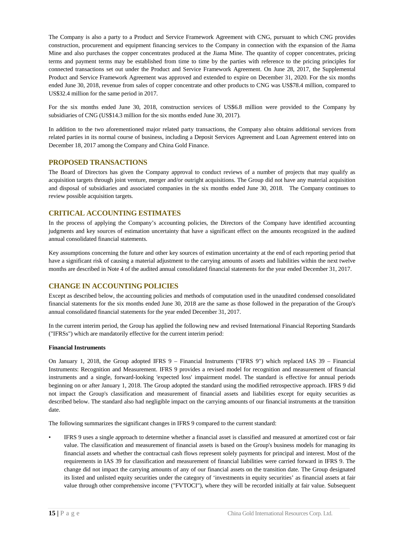The Company is also a party to a Product and Service Framework Agreement with CNG, pursuant to which CNG provides construction, procurement and equipment financing services to the Company in connection with the expansion of the Jiama Mine and also purchases the copper concentrates produced at the Jiama Mine. The quantity of copper concentrates, pricing terms and payment terms may be established from time to time by the parties with reference to the pricing principles for connected transactions set out under the Product and Service Framework Agreement. On June 28, 2017, the Supplemental Product and Service Framework Agreement was approved and extended to expire on December 31, 2020. For the six months ended June 30, 2018, revenue from sales of copper concentrate and other products to CNG was US\$78.4 million, compared to US\$32.4 million for the same period in 2017.

For the six months ended June 30, 2018, construction services of US\$6.8 million were provided to the Company by subsidiaries of CNG (US\$14.3 million for the six months ended June 30, 2017).

In addition to the two aforementioned major related party transactions, the Company also obtains additional services from related parties in its normal course of business, including a Deposit Services Agreement and Loan Agreement entered into on December 18, 2017 among the Company and China Gold Finance.

### <span id="page-16-0"></span>**PROPOSED TRANSACTIONS**

The Board of Directors has given the Company approval to conduct reviews of a number of projects that may qualify as acquisition targets through joint venture, merger and/or outright acquisitions. The Group did not have any material acquisition and disposal of subsidiaries and associated companies in the six months ended June 30, 2018. The Company continues to review possible acquisition targets.

#### <span id="page-16-1"></span>**CRITICAL ACCOUNTING ESTIMATES**

In the process of applying the Company's accounting policies, the Directors of the Company have identified accounting judgments and key sources of estimation uncertainty that have a significant effect on the amounts recognized in the audited annual consolidated financial statements.

Key assumptions concerning the future and other key sources of estimation uncertainty at the end of each reporting period that have a significant risk of causing a material adjustment to the carrying amounts of assets and liabilities within the next twelve months are described in Note 4 of the audited annual consolidated financial statements for the year ended December 31, 2017.

### <span id="page-16-2"></span>**CHANGE IN ACCOUNTING POLICIES**

Except as described below, the accounting policies and methods of computation used in the unaudited condensed consolidated financial statements for the six months ended June 30, 2018 are the same as those followed in the preparation of the Group's annual consolidated financial statements for the year ended December 31, 2017.

In the current interim period, the Group has applied the following new and revised International Financial Reporting Standards ("IFRSs") which are mandatorily effective for the current interim period:

#### **Financial Instruments**

On January 1, 2018, the Group adopted IFRS 9 – Financial Instruments ("IFRS 9") which replaced IAS 39 – Financial Instruments: Recognition and Measurement. IFRS 9 provides a revised model for recognition and measurement of financial instruments and a single, forward-looking 'expected loss' impairment model. The standard is effective for annual periods beginning on or after January 1, 2018. The Group adopted the standard using the modified retrospective approach. IFRS 9 did not impact the Group's classification and measurement of financial assets and liabilities except for equity securities as described below. The standard also had negligible impact on the carrying amounts of our financial instruments at the transition date.

The following summarizes the significant changes in IFRS 9 compared to the current standard:

• IFRS 9 uses a single approach to determine whether a financial asset is classified and measured at amortized cost or fair value. The classification and measurement of financial assets is based on the Group's business models for managing its financial assets and whether the contractual cash flows represent solely payments for principal and interest. Most of the requirements in IAS 39 for classification and measurement of financial liabilities were carried forward in IFRS 9. The change did not impact the carrying amounts of any of our financial assets on the transition date. The Group designated its listed and unlisted equity securities under the category of 'investments in equity securities' as financial assets at fair value through other comprehensive income ("FVTOCI"), where they will be recorded initially at fair value. Subsequent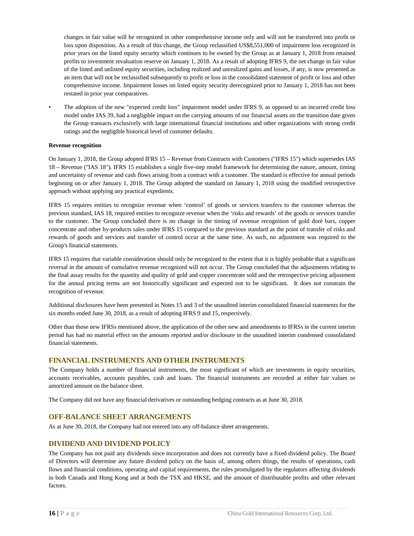changes in fair value will be recognized in other comprehensive income only and will not be transferred into profit or loss upon disposition. As a result of this change, the Group reclassified US\$8,551,000 of impairment loss recognized in prior years on the listed equity security which continues to be owned by the Group as at January 1, 2018 from retained profits to investment revaluation reserve on January 1, 2018. As a result of adopting IFRS 9, the net change in fair value of the listed and unlisted equity securities, including realized and unrealized gains and losses, if any, is now presented as an item that will not be reclassified subsequently to profit or loss in the consolidated statement of profit or loss and other comprehensive income. Impairment losses on listed equity security derecognized prior to January 1, 2018 has not been restated in prior year comparatives.

• The adoption of the new "expected credit loss" impairment model under IFRS 9, as opposed to an incurred credit loss model under IAS 39, had a negligible impact on the carrying amounts of our financial assets on the transition date given the Group transacts exclusively with large international financial institutions and other organizations with strong credit ratings and the negligible historical level of customer defaults.

#### **Revenue recognition**

On January 1, 2018, the Group adopted IFRS 15 – Revenue from Contracts with Customers ("IFRS 15") which supersedes IAS 18 – Revenue ("IAS 18"). IFRS 15 establishes a single five-step model framework for determining the nature, amount, timing and uncertainty of revenue and cash flows arising from a contract with a customer. The standard is effective for annual periods beginning on or after January 1, 2018. The Group adopted the standard on January 1, 2018 using the modified retrospective approach without applying any practical expedients.

IFRS 15 requires entities to recognize revenue when 'control' of goods or services transfers to the customer whereas the previous standard, IAS 18, required entities to recognize revenue when the 'risks and rewards' of the goods or services transfer to the customer. The Group concluded there is no change in the timing of revenue recognition of gold doré bars, copper concentrate and other by-products sales under IFRS 15 compared to the previous standard as the point of transfer of risks and rewards of goods and services and transfer of control occur at the same time. As such, no adjustment was required to the Group's financial statements.

IFRS 15 requires that variable consideration should only be recognized to the extent that it is highly probable that a significant reversal in the amount of cumulative revenue recognized will not occur. The Group concluded that the adjustments relating to the final assay results for the quantity and quality of gold and copper concentrate sold and the retrospective pricing adjustment for the annual pricing terms are not historically significant and expected not to be significant. It does not constrain the recognition of revenue.

Additional disclosures have been presented in Notes 15 and 3 of the unaudited interim consolidated financial statements for the six months ended June 30, 2018, as a result of adopting IFRS 9 and 15, respectively.

Other than those new IFRSs mentioned above, the application of the other new and amendments to IFRSs in the current interim period has had no material effect on the amounts reported and/or disclosure in the unaudited interim condensed consolidated financial statements.

### <span id="page-17-0"></span>**FINANCIAL INSTRUMENTS AND OTHER INSTRUMENTS**

The Company holds a number of financial instruments, the most significant of which are investments in equity securities, accounts receivables, accounts payables, cash and loans. The financial instruments are recorded at either fair values or amortized amount on the balance sheet.

The Company did not have any financial derivatives or outstanding hedging contracts as at June 30, 2018.

### <span id="page-17-1"></span>**OFF-BALANCE SHEET ARRANGEMENTS**

As at June 30, 2018, the Company had not entered into any off-balance sheet arrangements.

### <span id="page-17-2"></span>**DIVIDEND AND DIVIDEND POLICY**

The Company has not paid any dividends since incorporation and does not currently have a fixed dividend policy. The Board of Directors will determine any future dividend policy on the basis of, among others things, the results of operations, cash flows and financial conditions, operating and capital requirements, the rules promulgated by the regulators affecting dividends in both Canada and Hong Kong and at both the TSX and HKSE, and the amount of distributable profits and other relevant factors.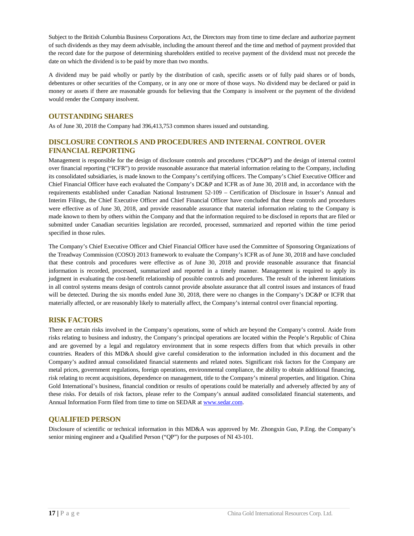Subject to the British Columbia Business Corporations Act, the Directors may from time to time declare and authorize payment of such dividends as they may deem advisable, including the amount thereof and the time and method of payment provided that the record date for the purpose of determining shareholders entitled to receive payment of the dividend must not precede the date on which the dividend is to be paid by more than two months.

A dividend may be paid wholly or partly by the distribution of cash, specific assets or of fully paid shares or of bonds, debentures or other securities of the Company, or in any one or more of those ways. No dividend may be declared or paid in money or assets if there are reasonable grounds for believing that the Company is insolvent or the payment of the dividend would render the Company insolvent.

### <span id="page-18-0"></span>**OUTSTANDING SHARES**

As of June 30, 2018 the Company had 396,413,753 common shares issued and outstanding.

### <span id="page-18-1"></span>**DISCLOSURE CONTROLS AND PROCEDURES AND INTERNAL CONTROL OVER FINANCIAL REPORTING**

Management is responsible for the design of disclosure controls and procedures ("DC&P") and the design of internal control over financial reporting ("ICFR") to provide reasonable assurance that material information relating to the Company, including its consolidated subsidiaries, is made known to the Company's certifying officers. The Company's Chief Executive Officer and Chief Financial Officer have each evaluated the Company's DC&P and ICFR as of June 30, 2018 and, in accordance with the requirements established under Canadian National Instrument 52-109 – Certification of Disclosure in Issuer's Annual and Interim Filings, the Chief Executive Officer and Chief Financial Officer have concluded that these controls and procedures were effective as of June 30, 2018, and provide reasonable assurance that material information relating to the Company is made known to them by others within the Company and that the information required to be disclosed in reports that are filed or submitted under Canadian securities legislation are recorded, processed, summarized and reported within the time period specified in those rules.

The Company's Chief Executive Officer and Chief Financial Officer have used the Committee of Sponsoring Organizations of the Treadway Commission (COSO) 2013 framework to evaluate the Company's ICFR as of June 30, 2018 and have concluded that these controls and procedures were effective as of June 30, 2018 and provide reasonable assurance that financial information is recorded, processed, summarized and reported in a timely manner. Management is required to apply its judgment in evaluating the cost-benefit relationship of possible controls and procedures. The result of the inherent limitations in all control systems means design of controls cannot provide absolute assurance that all control issues and instances of fraud will be detected. During the six months ended June 30, 2018, there were no changes in the Company's DC&P or ICFR that materially affected, or are reasonably likely to materially affect, the Company's internal control over financial reporting.

### <span id="page-18-2"></span>**RISK FACTORS**

There are certain risks involved in the Company's operations, some of which are beyond the Company's control. Aside from risks relating to business and industry, the Company's principal operations are located within the People's Republic of China and are governed by a legal and regulatory environment that in some respects differs from that which prevails in other countries. Readers of this MD&A should give careful consideration to the information included in this document and the Company's audited annual consolidated financial statements and related notes. Significant risk factors for the Company are metal prices, government regulations, foreign operations, environmental compliance, the ability to obtain additional financing, risk relating to recent acquisitions, dependence on management, title to the Company's mineral properties, and litigation. China Gold International's business, financial condition or results of operations could be materially and adversely affected by any of these risks. For details of risk factors, please refer to the Company's annual audited consolidated financial statements, and Annual Information Form filed from time to time on SEDAR a[t www.sedar.com.](http://www.sedar.com/)

### <span id="page-18-3"></span>**QUALIFIED PERSON**

Disclosure of scientific or technical information in this MD&A was approved by Mr. Zhongxin Guo, P.Eng. the Company's senior mining engineer and a Qualified Person ("QP") for the purposes of NI 43-101.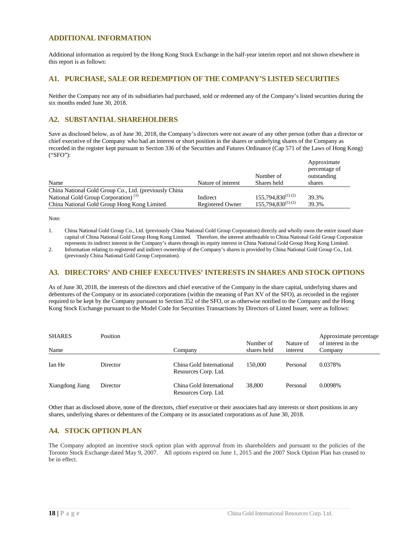### <span id="page-19-0"></span>**ADDITIONAL INFORMATION**

Additional information as required by the Hong Kong Stock Exchange in the half-year interim report and not shown elsewhere in this report is as follows:

### **A1. PURCHASE, SALE OR REDEMPTION OF THE COMPANY'S LISTED SECURITIES**

Neither the Company nor any of its subsidiaries had purchased, sold or redeemed any of the Company's listed securities during the six months ended June 30, 2018.

### **A2. SUBSTANTIAL SHAREHOLDERS**

Save as disclosed below, as of June 30, 2018, the Company's directors were not aware of any other person (other than a director or chief executive of the Company who had an interest or short position in the shares or underlying shares of the Company as recorded in the register kept pursuant to Section 336 of the Securities and Futures Ordinance (Cap 571 of the Laws of Hong Kong) ("SFO"):

| Name                                                  | Nature of interest | Number of<br>Shares held | Approximate<br>percentage of<br>outstanding<br>shares |
|-------------------------------------------------------|--------------------|--------------------------|-------------------------------------------------------|
| China National Gold Group Co., Ltd. (previously China |                    |                          |                                                       |
| National Gold Group Corporation) <sup>(1)</sup>       | Indirect           | $155,794,830^{(1)(2)}$   | 39.3%                                                 |
| China National Gold Group Hong Kong Limited           | Registered Owner   | $155,794,830^{(1)(2)}$   | 39.3%                                                 |

Note:

1. China National Gold Group Co., Ltd. (previously China National Gold Group Corporation) directly and wholly owns the entire issued share capital of China National Gold Group Hong Kong Limited. Therefore, the interest attributable to China National Gold Group Corporation represents its indirect interest in the Company's shares through its equity interest in China National Gold Group Hong Kong Limited.

2. Information relating to registered and indirect ownership of the Company's shares is provided by China National Gold Group Co., Ltd. (previously China National Gold Group Corporation).

### **A3. DIRECTORS' AND CHIEF EXECUTIVES' INTERESTS IN SHARES AND STOCK OPTIONS**

As of June 30, 2018, the interests of the directors and chief executive of the Company in the share capital, underlying shares and debentures of the Company or its associated corporations (within the meaning of Part XV of the SFO), as recorded in the register required to be kept by the Company pursuant to Section 352 of the SFO, or as otherwise notified to the Company and the Hong Kong Stock Exchange pursuant to the Model Code for Securities Transactions by Directors of Listed Issuer, were as follows:

| <b>SHARES</b><br>Name | Position | Company                                          | Number of<br>shares held | Nature of<br>interest | Approximate percentage<br>of interest in the<br>Company |
|-----------------------|----------|--------------------------------------------------|--------------------------|-----------------------|---------------------------------------------------------|
| Ian He                | Director | China Gold International<br>Resources Corp. Ltd. | 150,000                  | Personal              | 0.0378%                                                 |
| Xiangdong Jiang       | Director | China Gold International<br>Resources Corp. Ltd. | 38,800                   | Personal              | 0.0098%                                                 |

Other than as disclosed above, none of the directors, chief executive or their associates had any interests or short positions in any shares, underlying shares or debentures of the Company or its associated corporations as of June 30, 2018.

### **A4. STOCK OPTION PLAN**

The Company adopted an incentive stock option plan with approval from its shareholders and pursuant to the policies of the Toronto Stock Exchange dated May 9, 2007. All options expired on June 1, 2015 and the 2007 Stock Option Plan has ceased to be in effect.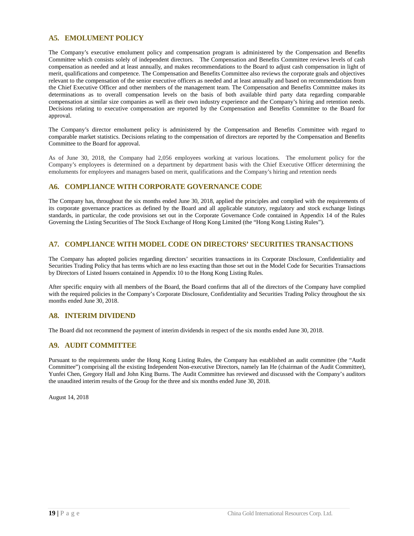### **A5. EMOLUMENT POLICY**

The Company's executive emolument policy and compensation program is administered by the Compensation and Benefits Committee which consists solely of independent directors. The Compensation and Benefits Committee reviews levels of cash compensation as needed and at least annually, and makes recommendations to the Board to adjust cash compensation in light of merit, qualifications and competence. The Compensation and Benefits Committee also reviews the corporate goals and objectives relevant to the compensation of the senior executive officers as needed and at least annually and based on recommendations from the Chief Executive Officer and other members of the management team. The Compensation and Benefits Committee makes its determinations as to overall compensation levels on the basis of both available third party data regarding comparable compensation at similar size companies as well as their own industry experience and the Company's hiring and retention needs. Decisions relating to executive compensation are reported by the Compensation and Benefits Committee to the Board for approval.

The Company's director emolument policy is administered by the Compensation and Benefits Committee with regard to comparable market statistics. Decisions relating to the compensation of directors are reported by the Compensation and Benefits Committee to the Board for approval.

As of June 30, 2018, the Company had 2,056 employees working at various locations. The emolument policy for the Company's employees is determined on a department by department basis with the Chief Executive Officer determining the emoluments for employees and managers based on merit, qualifications and the Company's hiring and retention needs

#### **A6. COMPLIANCE WITH CORPORATE GOVERNANCE CODE**

The Company has, throughout the six months ended June 30, 2018, applied the principles and complied with the requirements of its corporate governance practices as defined by the Board and all applicable statutory, regulatory and stock exchange listings standards, in particular, the code provisions set out in the Corporate Governance Code contained in Appendix 14 of the Rules Governing the Listing Securities of The Stock Exchange of Hong Kong Limited (the "Hong Kong Listing Rules").

### **A7. COMPLIANCE WITH MODEL CODE ON DIRECTORS' SECURITIES TRANSACTIONS**

The Company has adopted policies regarding directors' securities transactions in its Corporate Disclosure, Confidentiality and Securities Trading Policy that has terms which are no less exacting than those set out in the Model Code for Securities Transactions by Directors of Listed Issuers contained in Appendix 10 to the Hong Kong Listing Rules.

After specific enquiry with all members of the Board, the Board confirms that all of the directors of the Company have complied with the required policies in the Company's Corporate Disclosure, Confidentiality and Securities Trading Policy throughout the six months ended June 30, 2018.

### **A8. INTERIM DIVIDEND**

The Board did not recommend the payment of interim dividends in respect of the six months ended June 30, 2018.

### **A9. AUDIT COMMITTEE**

Pursuant to the requirements under the Hong Kong Listing Rules, the Company has established an audit committee (the "Audit Committee") comprising all the existing Independent Non-executive Directors, namely Ian He (chairman of the Audit Committee), Yunfei Chen, Gregory Hall and John King Burns. The Audit Committee has reviewed and discussed with the Company's auditors the unaudited interim results of the Group for the three and six months ended June 30, 2018.

August 14, 2018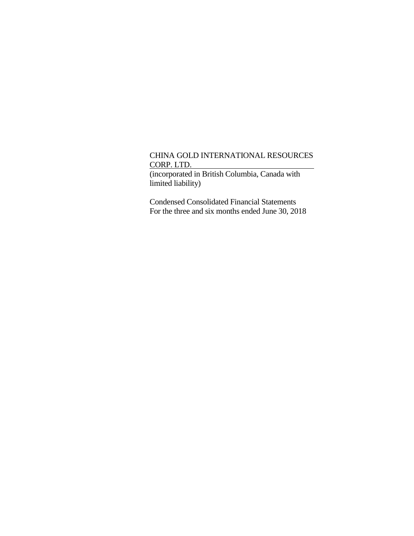(incorporated in British Columbia, Canada with limited liability)

Condensed Consolidated Financial Statements For the three and six months ended June 30, 2018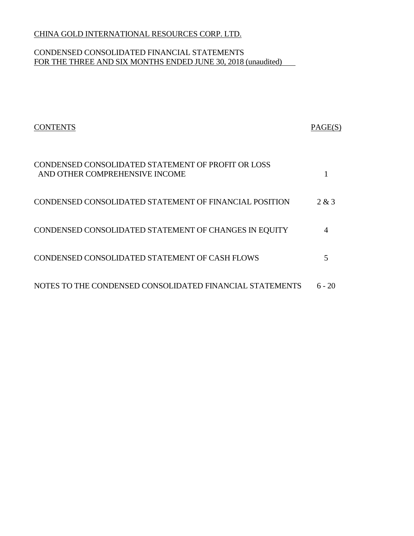# CONDENSED CONSOLIDATED FINANCIAL STATEMENTS FOR THE THREE AND SIX MONTHS ENDED JUNE 30, 2018 (unaudited)

| <b>CONTENTS</b>                                                                      | PAGE(S)  |
|--------------------------------------------------------------------------------------|----------|
| CONDENSED CONSOLIDATED STATEMENT OF PROFIT OR LOSS<br>AND OTHER COMPREHENSIVE INCOME |          |
| CONDENSED CONSOLIDATED STATEMENT OF FINANCIAL POSITION                               | 2 & 3    |
| CONDENSED CONSOLIDATED STATEMENT OF CHANGES IN EQUITY                                | 4        |
| CONDENSED CONSOLIDATED STATEMENT OF CASH FLOWS                                       | 5        |
| NOTES TO THE CONDENSED CONSOLIDATED FINANCIAL STATEMENTS                             | $6 - 20$ |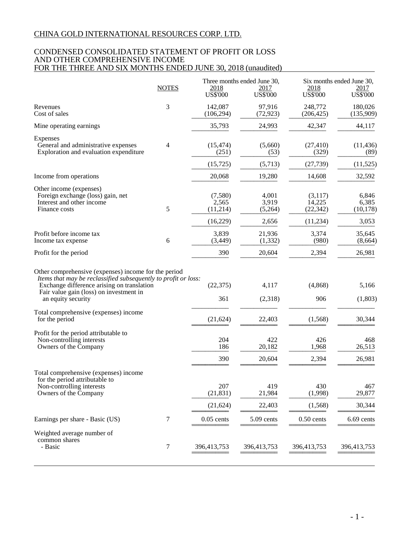### CONDENSED CONSOLIDATED STATEMENT OF PROFIT OR LOSS AND OTHER COMPREHENSIVE INCOME FOR THE THREE AND SIX MONTHS ENDED JUNE 30, 2018 (unaudited)

|                                                                                                                                                                                                                                       | <b>NOTES</b>   | 2018                         | Three months ended June 30,<br>2017 | 2018                           | Six months ended June 30,<br>2017 |
|---------------------------------------------------------------------------------------------------------------------------------------------------------------------------------------------------------------------------------------|----------------|------------------------------|-------------------------------------|--------------------------------|-----------------------------------|
|                                                                                                                                                                                                                                       |                | <b>US\$'000</b>              | <b>US\$'000</b>                     | <b>US\$'000</b>                | <b>US\$'000</b>                   |
| Revenues<br>Cost of sales                                                                                                                                                                                                             | 3              | 142,087<br>(106, 294)        | 97,916<br>(72, 923)                 | 248,772<br>(206, 425)          | 180,026<br>(135,909)              |
| Mine operating earnings                                                                                                                                                                                                               |                | 35,793                       | 24,993                              | 42,347                         | 44,117                            |
| Expenses<br>General and administrative expenses<br>Exploration and evaluation expenditure                                                                                                                                             | $\overline{4}$ | (15, 474)<br>(251)           | (5,660)<br>(53)                     | (27, 410)<br>(329)             | (11, 436)<br>(89)                 |
|                                                                                                                                                                                                                                       |                | (15, 725)                    | (5,713)                             | (27, 739)                      | (11, 525)                         |
| Income from operations                                                                                                                                                                                                                |                | 20,068                       | 19,280                              | 14,608                         | 32,592                            |
| Other income (expenses)<br>Foreign exchange (loss) gain, net<br>Interest and other income<br>Finance costs                                                                                                                            | 5              | (7,580)<br>2,565<br>(11,214) | 4,001<br>3,919<br>(5,264)           | (3,117)<br>14,225<br>(22, 342) | 6,846<br>6,385<br>(10, 178)       |
|                                                                                                                                                                                                                                       |                | (16,229)                     | 2,656                               | (11, 234)                      | 3,053                             |
| Profit before income tax<br>Income tax expense                                                                                                                                                                                        | 6              | 3,839<br>(3, 449)            | 21,936<br>(1, 332)                  | 3,374<br>(980)                 | 35,645<br>(8,664)                 |
| Profit for the period                                                                                                                                                                                                                 |                | 390                          | 20,604                              | 2,394                          | 26,981                            |
| Other comprehensive (expenses) income for the period<br>Items that may be reclassified subsequently to profit or loss:<br>Exchange difference arising on translation<br>Fair value gain (loss) on investment in<br>an equity security |                | (22, 375)<br>361             | 4,117<br>(2,318)                    | (4, 868)<br>906                | 5,166<br>(1,803)                  |
| Total comprehensive (expenses) income<br>for the period                                                                                                                                                                               |                | (21, 624)                    | 22,403                              | (1,568)                        | 30,344                            |
| Profit for the period attributable to<br>Non-controlling interests<br>Owners of the Company                                                                                                                                           |                | 204<br>186                   | 422<br>20,182                       | 426<br>1,968                   | 468<br>26,513                     |
|                                                                                                                                                                                                                                       |                | 390                          | 20,604                              | 2,394                          | 26,981                            |
| Total comprehensive (expenses) income<br>for the period attributable to                                                                                                                                                               |                | 207                          | 419                                 | 430                            |                                   |
| Non-controlling interests<br>Owners of the Company                                                                                                                                                                                    |                | (21, 831)                    | 21,984                              | (1,998)                        | 467<br>29,877                     |
|                                                                                                                                                                                                                                       |                | (21, 624)                    | 22,403                              | (1,568)                        | 30,344                            |
| Earnings per share - Basic (US)                                                                                                                                                                                                       | 7              | $0.05$ cents                 | 5.09 cents                          | $0.50$ cents                   | 6.69 cents                        |
| Weighted average number of<br>common shares<br>- Basic                                                                                                                                                                                | 7              | 396,413,753                  | 396,413,753                         | 396,413,753                    | 396,413,753                       |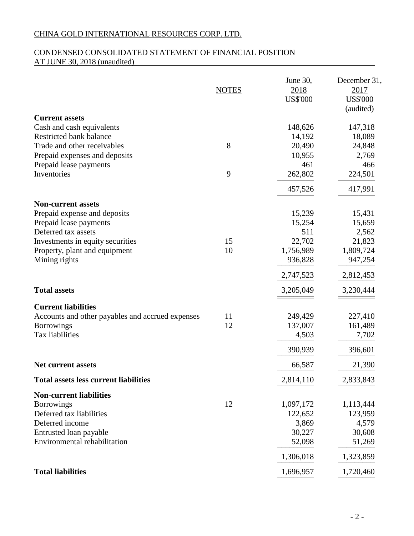# CONDENSED CONSOLIDATED STATEMENT OF FINANCIAL POSITION AT JUNE 30, 2018 (unaudited)

|                                                                   | <b>NOTES</b> | June 30,<br>2018<br><b>US\$'000</b> | December 31,<br>2017<br><b>US\$'000</b><br>(audited) |
|-------------------------------------------------------------------|--------------|-------------------------------------|------------------------------------------------------|
| <b>Current assets</b><br>Cash and cash equivalents                |              | 148,626                             | 147,318                                              |
| Restricted bank balance                                           |              | 14,192                              | 18,089                                               |
| Trade and other receivables                                       | 8            | 20,490                              | 24,848                                               |
| Prepaid expenses and deposits                                     |              | 10,955                              | 2,769                                                |
| Prepaid lease payments                                            |              | 461                                 | 466                                                  |
| Inventories                                                       | 9            | 262,802                             | 224,501                                              |
|                                                                   |              | 457,526                             | 417,991                                              |
| <b>Non-current assets</b>                                         |              |                                     |                                                      |
| Prepaid expense and deposits                                      |              | 15,239                              | 15,431                                               |
| Prepaid lease payments                                            |              | 15,254                              | 15,659                                               |
| Deferred tax assets                                               |              | 511                                 | 2,562                                                |
| Investments in equity securities<br>Property, plant and equipment | 15<br>10     | 22,702<br>1,756,989                 | 21,823<br>1,809,724                                  |
| Mining rights                                                     |              | 936,828                             | 947,254                                              |
|                                                                   |              | 2,747,523                           | 2,812,453                                            |
|                                                                   |              |                                     |                                                      |
| <b>Total assets</b>                                               |              | 3,205,049                           | 3,230,444                                            |
| <b>Current liabilities</b>                                        |              |                                     |                                                      |
| Accounts and other payables and accrued expenses                  | 11           | 249,429                             | 227,410                                              |
| <b>Borrowings</b>                                                 | 12           | 137,007                             | 161,489                                              |
| Tax liabilities                                                   |              | 4,503                               | 7,702                                                |
|                                                                   |              | 390,939                             | 396,601                                              |
| <b>Net current assets</b>                                         |              | 66,587                              | 21,390                                               |
| <b>Total assets less current liabilities</b>                      |              | 2,814,110                           | 2,833,843                                            |
| <b>Non-current liabilities</b>                                    |              |                                     |                                                      |
| <b>Borrowings</b>                                                 | 12           | 1,097,172                           | 1,113,444                                            |
| Deferred tax liabilities                                          |              | 122,652                             | 123,959                                              |
| Deferred income                                                   |              | 3,869                               | 4,579                                                |
| Entrusted loan payable                                            |              | 30,227                              | 30,608                                               |
| Environmental rehabilitation                                      |              | 52,098                              | 51,269                                               |
|                                                                   |              | 1,306,018                           | 1,323,859                                            |
| <b>Total liabilities</b>                                          |              | 1,696,957                           | 1,720,460                                            |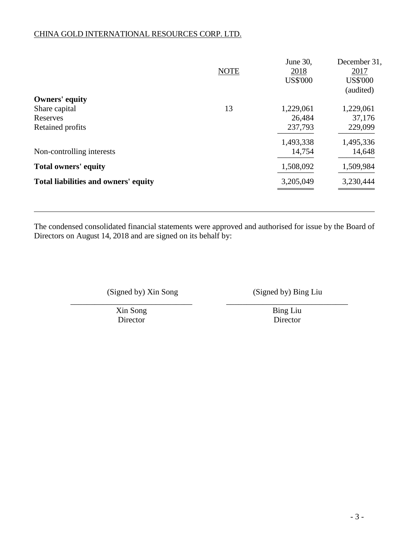|                                      | <b>NOTE</b> | June 30,<br>2018<br><b>US\$'000</b> | December 31,<br>2017<br><b>US\$'000</b><br>(audited) |
|--------------------------------------|-------------|-------------------------------------|------------------------------------------------------|
| <b>Owners' equity</b>                |             |                                     |                                                      |
| Share capital                        | 13          | 1,229,061                           | 1,229,061                                            |
| Reserves                             |             | 26,484                              | 37,176                                               |
| Retained profits                     |             | 237,793                             | 229,099                                              |
|                                      |             | 1,493,338                           | 1,495,336                                            |
| Non-controlling interests            |             | 14,754                              | 14,648                                               |
| <b>Total owners' equity</b>          |             | 1,508,092                           | 1,509,984                                            |
| Total liabilities and owners' equity |             | 3,205,049                           | 3,230,444                                            |
|                                      |             |                                     |                                                      |

The condensed consolidated financial statements were approved and authorised for issue by the Board of Directors on August 14, 2018 and are signed on its behalf by:

\_\_\_\_\_\_\_\_\_\_\_\_\_\_\_\_\_\_\_\_\_\_\_\_\_\_\_\_\_\_ \_\_\_\_\_\_\_\_\_\_\_\_\_\_\_\_\_\_\_\_\_\_\_\_\_\_\_\_\_\_

(Signed by) Xin Song (Signed by) Bing Liu

Xin Song<br>
Director Bing Liu<br>
Director Director

Director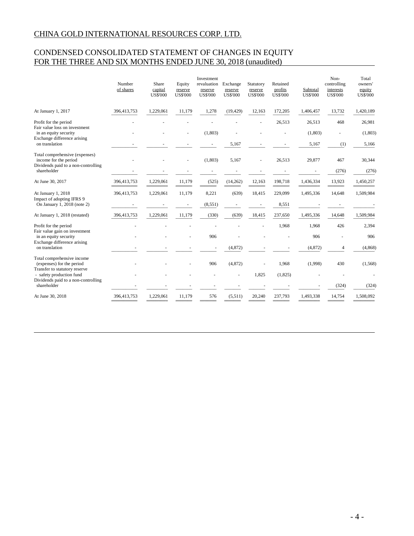# CONDENSED CONSOLIDATED STATEMENT OF CHANGES IN EQUITY FOR THE THREE AND SIX MONTHS ENDED JUNE 30, 2018 (unaudited)

|                                                                                                | Number<br>of shares | Share<br>capital<br><b>US\$'000</b> | Equity<br>reserve<br><b>US\$'000</b> | Investment<br>revaluation<br>reserve<br><b>US\$'000</b> | Exchange<br>reserve<br><b>US\$'000</b> | Statutory<br>reserve<br><b>US\$'000</b> | Retained<br>profits<br><b>US\$'000</b> | Subtotal<br><b>US\$'000</b> | Non-<br>controlling<br>interests<br><b>US\$'000</b> | Total<br>owners'<br>equity<br><b>US\$'000</b> |
|------------------------------------------------------------------------------------------------|---------------------|-------------------------------------|--------------------------------------|---------------------------------------------------------|----------------------------------------|-----------------------------------------|----------------------------------------|-----------------------------|-----------------------------------------------------|-----------------------------------------------|
| At January 1, 2017                                                                             | 396,413,753         | 1,229,061                           | 11,179                               | 1,278                                                   | (19, 429)                              | 12,163                                  | 172,205                                | 1,406,457                   | 13,732                                              | 1,420,189                                     |
| Profit for the period<br>Fair value loss on investment                                         |                     |                                     |                                      |                                                         |                                        |                                         | 26,513                                 | 26,513                      | 468                                                 | 26,981                                        |
| in an equity security<br>Exchange difference arising                                           |                     |                                     |                                      | (1,803)                                                 |                                        |                                         |                                        | (1, 803)                    |                                                     | (1, 803)                                      |
| on translation                                                                                 |                     |                                     |                                      |                                                         | 5,167                                  |                                         |                                        | 5,167                       | (1)                                                 | 5,166                                         |
| Total comprehensive (expenses)<br>income for the period<br>Dividends paid to a non-controlling |                     |                                     |                                      | (1,803)                                                 | 5,167                                  |                                         | 26,513                                 | 29,877                      | 467                                                 | 30,344                                        |
| shareholder                                                                                    |                     |                                     |                                      |                                                         |                                        |                                         |                                        |                             | (276)                                               | (276)                                         |
| At June 30, 2017                                                                               | 396,413,753         | 1,229,061                           | 11,179                               | (525)                                                   | (14,262)                               | 12,163                                  | 198,718                                | 1,436,334                   | 13,923                                              | 1,450,257                                     |
| At January 1, 2018                                                                             | 396,413,753         | 1,229,061                           | 11,179                               | 8,221                                                   | (639)                                  | 18,415                                  | 229,099                                | 1,495,336                   | 14,648                                              | 1,509,984                                     |
| Impact of adopting IFRS 9<br>On January 1, 2018 (note 2)                                       |                     |                                     |                                      | (8,551)                                                 |                                        |                                         | 8,551                                  |                             |                                                     |                                               |
| At January 1, 2018 (restated)                                                                  | 396,413,753         | 1,229,061                           | 11,179                               | (330)                                                   | (639)                                  | 18,415                                  | 237,650                                | 1,495,336                   | 14,648                                              | 1,509,984                                     |
| Profit for the period                                                                          |                     |                                     |                                      |                                                         |                                        |                                         | 1,968                                  | 1,968                       | 426                                                 | 2,394                                         |
| Fair value gain on investment<br>in an equity security                                         |                     |                                     |                                      | 906                                                     |                                        |                                         |                                        | 906                         |                                                     | 906                                           |
| Exchange difference arising<br>on translation                                                  |                     |                                     |                                      |                                                         | (4, 872)                               |                                         |                                        | (4, 872)                    | 4                                                   | (4, 868)                                      |
| Total comprehensive income<br>(expenses) for the period<br>Transfer to statutory reserve       |                     |                                     |                                      | 906                                                     | (4,872)                                |                                         | 1,968                                  | (1,998)                     | 430                                                 | (1, 568)                                      |
| - safety production fund<br>Dividends paid to a non-controlling                                |                     |                                     |                                      |                                                         |                                        | 1,825                                   | (1,825)                                |                             |                                                     |                                               |
| shareholder                                                                                    |                     |                                     |                                      |                                                         |                                        |                                         |                                        |                             | (324)                                               | (324)                                         |
| At June 30, 2018                                                                               | 396,413,753         | 1,229,061                           | 11,179                               | 576                                                     | (5,511)                                | 20,240                                  | 237,793                                | 1,493,338                   | 14,754                                              | 1,508,092                                     |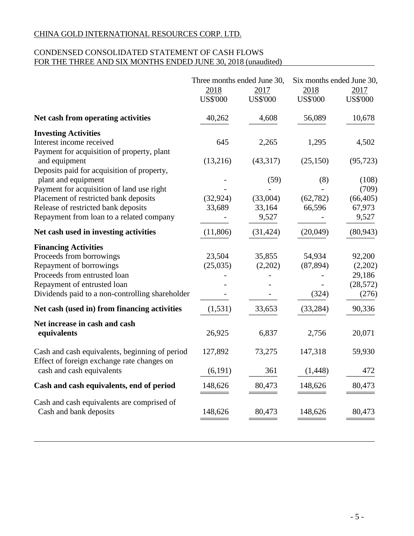# CONDENSED CONSOLIDATED STATEMENT OF CASH FLOWS FOR THE THREE AND SIX MONTHS ENDED JUNE 30, 2018 (unaudited)

|                                                                                              | Three months ended June 30,<br>2018<br><b>US\$'000</b> | 2017<br><b>US\$'000</b> | Six months ended June 30,<br>2018<br><b>US\$'000</b> | 2017<br><b>US\$'000</b> |
|----------------------------------------------------------------------------------------------|--------------------------------------------------------|-------------------------|------------------------------------------------------|-------------------------|
| Net cash from operating activities                                                           | 40,262                                                 | 4,608                   | 56,089                                               | 10,678                  |
| <b>Investing Activities</b>                                                                  |                                                        |                         |                                                      |                         |
| Interest income received                                                                     | 645                                                    | 2,265                   | 1,295                                                | 4,502                   |
| Payment for acquisition of property, plant                                                   |                                                        |                         |                                                      |                         |
| and equipment                                                                                | (13,216)                                               | (43,317)                | (25, 150)                                            | (95, 723)               |
| Deposits paid for acquisition of property,<br>plant and equipment                            |                                                        | (59)                    | (8)                                                  | (108)                   |
| Payment for acquisition of land use right                                                    |                                                        |                         |                                                      | (709)                   |
| Placement of restricted bank deposits                                                        | (32, 924)                                              | (33,004)                | (62, 782)                                            | (66, 405)               |
| Release of restricted bank deposits                                                          | 33,689                                                 | 33,164                  | 66,596                                               | 67,973                  |
| Repayment from loan to a related company                                                     |                                                        | 9,527                   |                                                      | 9,527                   |
| Net cash used in investing activities                                                        | (11,806)                                               | (31, 424)               | (20,049)                                             | (80, 943)               |
| <b>Financing Activities</b>                                                                  |                                                        |                         |                                                      |                         |
| Proceeds from borrowings                                                                     | 23,504                                                 | 35,855                  | 54,934                                               | 92,200                  |
| Repayment of borrowings                                                                      | (25,035)                                               | (2,202)                 | (87, 894)                                            | (2,202)                 |
| Proceeds from entrusted loan                                                                 |                                                        |                         |                                                      | 29,186                  |
| Repayment of entrusted loan                                                                  |                                                        |                         |                                                      | (28, 572)               |
| Dividends paid to a non-controlling shareholder                                              |                                                        |                         | (324)                                                | (276)                   |
| Net cash (used in) from financing activities                                                 | (1, 531)                                               | 33,653                  | (33, 284)                                            | 90,336                  |
| Net increase in cash and cash                                                                |                                                        |                         |                                                      |                         |
| equivalents                                                                                  | 26,925                                                 | 6,837                   | 2,756                                                | 20,071                  |
| Cash and cash equivalents, beginning of period<br>Effect of foreign exchange rate changes on | 127,892                                                | 73,275                  | 147,318                                              | 59,930                  |
| cash and cash equivalents                                                                    | (6,191)                                                | 361                     | (1, 448)                                             | 472                     |
| Cash and cash equivalents, end of period                                                     | 148,626                                                | 80,473                  | 148,626                                              | 80,473                  |
| Cash and cash equivalents are comprised of<br>Cash and bank deposits                         | 148,626                                                | 80,473                  | 148,626                                              | 80,473                  |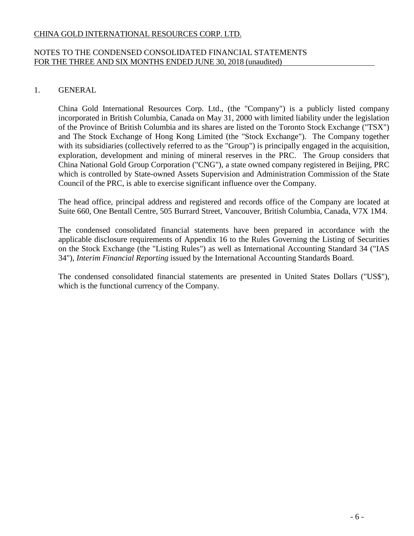# NOTES TO THE CONDENSED CONSOLIDATED FINANCIAL STATEMENTS FOR THE THREE AND SIX MONTHS ENDED JUNE 30, 2018 (unaudited)

# 1. GENERAL

China Gold International Resources Corp. Ltd., (the "Company") is a publicly listed company incorporated in British Columbia, Canada on May 31, 2000 with limited liability under the legislation of the Province of British Columbia and its shares are listed on the Toronto Stock Exchange ("TSX") and The Stock Exchange of Hong Kong Limited (the "Stock Exchange"). The Company together with its subsidiaries (collectively referred to as the "Group") is principally engaged in the acquisition, exploration, development and mining of mineral reserves in the PRC. The Group considers that China National Gold Group Corporation ("CNG"), a state owned company registered in Beijing, PRC which is controlled by State-owned Assets Supervision and Administration Commission of the State Council of the PRC, is able to exercise significant influence over the Company.

The head office, principal address and registered and records office of the Company are located at Suite 660, One Bentall Centre, 505 Burrard Street, Vancouver, British Columbia, Canada, V7X 1M4.

The condensed consolidated financial statements have been prepared in accordance with the applicable disclosure requirements of Appendix 16 to the Rules Governing the Listing of Securities on the Stock Exchange (the "Listing Rules") as well as International Accounting Standard 34 ("IAS 34"), *Interim Financial Reporting* issued by the International Accounting Standards Board.

The condensed consolidated financial statements are presented in United States Dollars ("US\$"), which is the functional currency of the Company.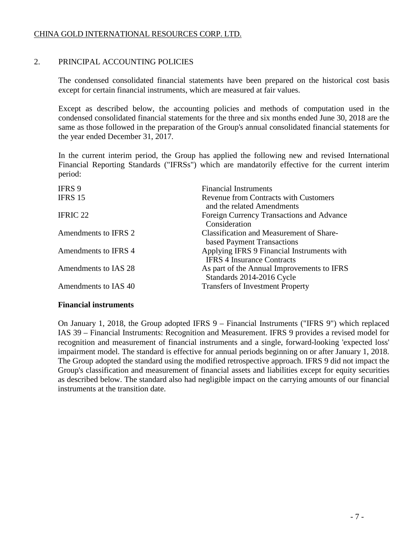# 2. PRINCIPAL ACCOUNTING POLICIES

The condensed consolidated financial statements have been prepared on the historical cost basis except for certain financial instruments, which are measured at fair values.

Except as described below, the accounting policies and methods of computation used in the condensed consolidated financial statements for the three and six months ended June 30, 2018 are the same as those followed in the preparation of the Group's annual consolidated financial statements for the year ended December 31, 2017.

In the current interim period, the Group has applied the following new and revised International Financial Reporting Standards ("IFRSs") which are mandatorily effective for the current interim period:

| <b>IFRS 9</b>        | <b>Financial Instruments</b>                                                    |
|----------------------|---------------------------------------------------------------------------------|
| <b>IFRS 15</b>       | <b>Revenue from Contracts with Customers</b><br>and the related Amendments      |
| <b>IFRIC 22</b>      | Foreign Currency Transactions and Advance<br>Consideration                      |
| Amendments to IFRS 2 | <b>Classification and Measurement of Share-</b><br>based Payment Transactions   |
| Amendments to IFRS 4 | Applying IFRS 9 Financial Instruments with<br><b>IFRS 4 Insurance Contracts</b> |
| Amendments to IAS 28 | As part of the Annual Improvements to IFRS<br>Standards 2014-2016 Cycle         |
| Amendments to IAS 40 | <b>Transfers of Investment Property</b>                                         |

# **Financial instruments**

On January 1, 2018, the Group adopted IFRS 9 – Financial Instruments ("IFRS 9") which replaced IAS 39 – Financial Instruments: Recognition and Measurement. IFRS 9 provides a revised model for recognition and measurement of financial instruments and a single, forward-looking 'expected loss' impairment model. The standard is effective for annual periods beginning on or after January 1, 2018. The Group adopted the standard using the modified retrospective approach. IFRS 9 did not impact the Group's classification and measurement of financial assets and liabilities except for equity securities as described below. The standard also had negligible impact on the carrying amounts of our financial instruments at the transition date.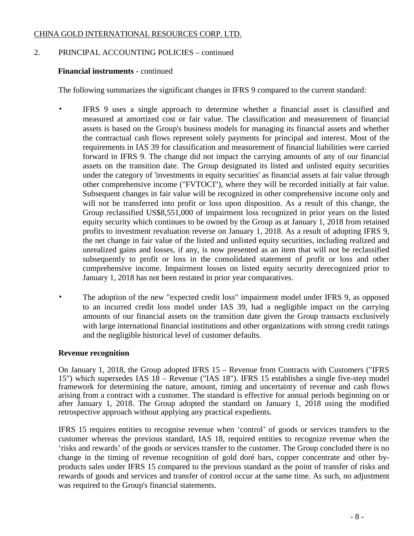# 2. PRINCIPAL ACCOUNTING POLICIES – continued

# **Financial instruments** - continued

The following summarizes the significant changes in IFRS 9 compared to the current standard:

- IFRS 9 uses a single approach to determine whether a financial asset is classified and measured at amortized cost or fair value. The classification and measurement of financial assets is based on the Group's business models for managing its financial assets and whether the contractual cash flows represent solely payments for principal and interest. Most of the requirements in IAS 39 for classification and measurement of financial liabilities were carried forward in IFRS 9. The change did not impact the carrying amounts of any of our financial assets on the transition date. The Group designated its listed and unlisted equity securities under the category of 'investments in equity securities' as financial assets at fair value through other comprehensive income ("FVTOCI"), where they will be recorded initially at fair value. Subsequent changes in fair value will be recognized in other comprehensive income only and will not be transferred into profit or loss upon disposition. As a result of this change, the Group reclassified US\$8,551,000 of impairment loss recognized in prior years on the listed equity security which continues to be owned by the Group as at January 1, 2018 from retained profits to investment revaluation reverse on January 1, 2018. As a result of adopting IFRS 9, the net change in fair value of the listed and unlisted equity securities, including realized and unrealized gains and losses, if any, is now presented as an item that will not be reclassified subsequently to profit or loss in the consolidated statement of profit or loss and other comprehensive income. Impairment losses on listed equity security derecognized prior to January 1, 2018 has not been restated in prior year comparatives.
- The adoption of the new "expected credit loss" impairment model under IFRS 9, as opposed to an incurred credit loss model under IAS 39, had a negligible impact on the carrying amounts of our financial assets on the transition date given the Group transacts exclusively with large international financial institutions and other organizations with strong credit ratings and the negligible historical level of customer defaults.

# **Revenue recognition**

On January 1, 2018, the Group adopted IFRS 15 – Revenue from Contracts with Customers ("IFRS 15") which supersedes IAS 18 – Revenue ("IAS 18"). IFRS 15 establishes a single five-step model framework for determining the nature, amount, timing and uncertainty of revenue and cash flows arising from a contract with a customer. The standard is effective for annual periods beginning on or after January 1, 2018. The Group adopted the standard on January 1, 2018 using the modified retrospective approach without applying any practical expedients.

IFRS 15 requires entities to recognise revenue when 'control' of goods or services transfers to the customer whereas the previous standard, IAS 18, required entities to recognize revenue when the 'risks and rewards' of the goods or services transfer to the customer. The Group concluded there is no change in the timing of revenue recognition of gold doré bars, copper concentrate and other byproducts sales under IFRS 15 compared to the previous standard as the point of transfer of risks and rewards of goods and services and transfer of control occur at the same time. As such, no adjustment was required to the Group's financial statements.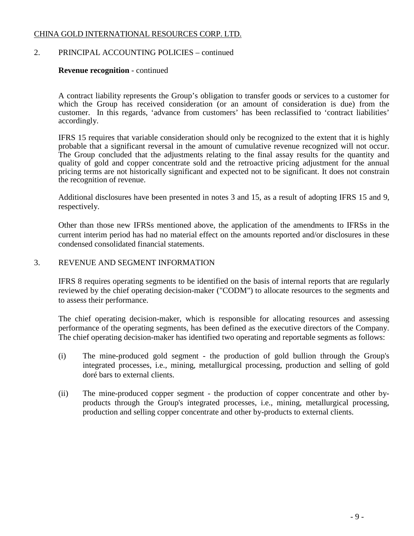# 2. PRINCIPAL ACCOUNTING POLICIES – continued

### **Revenue recognition** - continued

A contract liability represents the Group's obligation to transfer goods or services to a customer for which the Group has received consideration (or an amount of consideration is due) from the customer. In this regards, 'advance from customers' has been reclassified to 'contract liabilities' accordingly.

IFRS 15 requires that variable consideration should only be recognized to the extent that it is highly probable that a significant reversal in the amount of cumulative revenue recognized will not occur. The Group concluded that the adjustments relating to the final assay results for the quantity and quality of gold and copper concentrate sold and the retroactive pricing adjustment for the annual pricing terms are not historically significant and expected not to be significant. It does not constrain the recognition of revenue.

Additional disclosures have been presented in notes 3 and 15, as a result of adopting IFRS 15 and 9, respectively.

Other than those new IFRSs mentioned above, the application of the amendments to IFRSs in the current interim period has had no material effect on the amounts reported and/or disclosures in these condensed consolidated financial statements.

### 3. REVENUE AND SEGMENT INFORMATION

IFRS 8 requires operating segments to be identified on the basis of internal reports that are regularly reviewed by the chief operating decision-maker ("CODM") to allocate resources to the segments and to assess their performance.

The chief operating decision-maker, which is responsible for allocating resources and assessing performance of the operating segments, has been defined as the executive directors of the Company. The chief operating decision-maker has identified two operating and reportable segments as follows:

- (i) The mine-produced gold segment the production of gold bullion through the Group's integrated processes, i.e., mining, metallurgical processing, production and selling of gold doré bars to external clients.
- (ii) The mine-produced copper segment the production of copper concentrate and other byproducts through the Group's integrated processes, i.e., mining, metallurgical processing, production and selling copper concentrate and other by-products to external clients.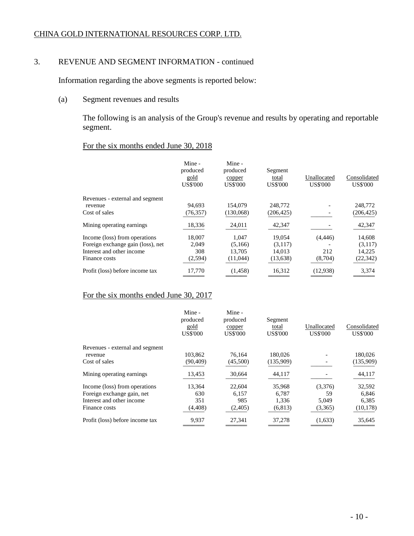# 3. REVENUE AND SEGMENT INFORMATION - continued

Information regarding the above segments is reported below:

(a) Segment revenues and results

The following is an analysis of the Group's revenue and results by operating and reportable segment.

# For the six months ended June 30, 2018

|                                   | Mine -<br>produced<br>gold<br><b>US\$'000</b> | Mine -<br>produced<br>copper<br><b>US\$'000</b> | Segment<br>total<br><b>US\$'000</b> | Unallocated<br><b>US\$'000</b> | Consolidated<br><b>US\$'000</b> |
|-----------------------------------|-----------------------------------------------|-------------------------------------------------|-------------------------------------|--------------------------------|---------------------------------|
| Revenues - external and segment   |                                               |                                                 |                                     |                                |                                 |
| revenue                           | 94,693                                        | 154,079                                         | 248,772                             |                                | 248,772                         |
| Cost of sales                     | (76, 357)                                     | (130,068)                                       | (206, 425)                          |                                | (206, 425)                      |
| Mining operating earnings.        | 18,336                                        | 24,011                                          | 42,347                              |                                | 42,347                          |
| Income (loss) from operations     | 18,007                                        | 1,047                                           | 19,054                              | (4, 446)                       | 14,608                          |
| Foreign exchange gain (loss), net | 2,049                                         | (5,166)                                         | (3,117)                             |                                | (3,117)                         |
| Interest and other income         | 308                                           | 13.705                                          | 14.013                              | 212                            | 14,225                          |
| Finance costs                     | (2,594)                                       | (11,044)                                        | (13, 638)                           | (8,704)                        | (22, 342)                       |
| Profit (loss) before income tax   | 17,770                                        | (1, 458)                                        | 16,312                              | (12,938)                       | 3,374                           |
|                                   |                                               |                                                 |                                     |                                |                                 |

# For the six months ended June 30, 2017

|                                 | Mine -<br>produced<br>gold<br><b>US\$'000</b> | Mine -<br>produced<br>copper<br><b>US\$'000</b> | Segment<br>total<br><b>US\$'000</b> | Unallocated<br><b>US\$'000</b> | Consolidated<br><b>US\$'000</b> |
|---------------------------------|-----------------------------------------------|-------------------------------------------------|-------------------------------------|--------------------------------|---------------------------------|
| Revenues - external and segment |                                               |                                                 |                                     |                                |                                 |
| revenue                         | 103,862                                       | 76.164                                          | 180,026                             |                                | 180,026                         |
| Cost of sales                   | (90, 409)                                     | (45,500)                                        | (135,909)                           |                                | (135,909)                       |
| Mining operating earnings.      | 13,453                                        | 30,664                                          | 44,117                              |                                | 44,117                          |
| Income (loss) from operations   | 13,364                                        | 22,604                                          | 35,968                              | (3,376)                        | 32,592                          |
| Foreign exchange gain, net      | 630                                           | 6,157                                           | 6,787                               | 59                             | 6,846                           |
| Interest and other income       | 351                                           | 985                                             | 1.336                               | 5.049                          | 6.385                           |
| Finance costs                   | (4, 408)                                      | (2,405)                                         | (6, 813)                            | (3,365)                        | (10, 178)                       |
| Profit (loss) before income tax | 9,937                                         | 27,341                                          | 37,278                              | (1,633)                        | 35,645                          |
|                                 |                                               |                                                 |                                     |                                |                                 |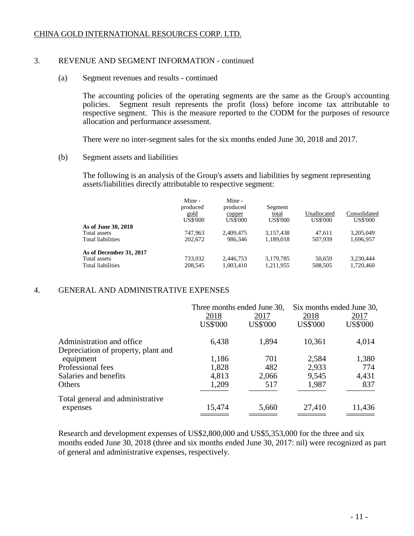# 3. REVENUE AND SEGMENT INFORMATION - continued

(a) Segment revenues and results - continued

The accounting policies of the operating segments are the same as the Group's accounting policies. Segment result represents the profit (loss) before income tax attributable to Segment result represents the profit (loss) before income tax attributable to respective segment. This is the measure reported to the CODM for the purposes of resource allocation and performance assessment.

There were no inter-segment sales for the six months ended June 30, 2018 and 2017.

(b) Segment assets and liabilities

The following is an analysis of the Group's assets and liabilities by segment representing assets/liabilities directly attributable to respective segment:

|                          | Mine -<br>produced<br>gold<br><b>US\$'000</b> | Mine -<br>produced<br>copper<br>US\$'000 | Segment<br>total<br><b>US\$'000</b> | Unallocated<br><b>US\$'000</b> | Consolidated<br><b>US\$'000</b> |
|--------------------------|-----------------------------------------------|------------------------------------------|-------------------------------------|--------------------------------|---------------------------------|
| As of June 30, 2018      |                                               |                                          |                                     |                                |                                 |
| Total assets             | 747.963                                       | 2.409.475                                | 3,157,438                           | 47,611                         | 3,205,049                       |
| Total liabilities        | 202,672                                       | 986.346                                  | 1,189,018                           | 507.939                        | 1,696,957                       |
| As of December 31, 2017  |                                               |                                          |                                     |                                |                                 |
| Total assets             | 733,032                                       | 2.446.753                                | 3,179,785                           | 50.659                         | 3.230.444                       |
| <b>Total liabilities</b> | 208,545                                       | 1,003,410                                | 1,211,955                           | 508,505                        | 1,720,460                       |

# 4. GENERAL AND ADMINISTRATIVE EXPENSES

|                                     |                 | Three months ended June 30, |                 | Six months ended June 30, |
|-------------------------------------|-----------------|-----------------------------|-----------------|---------------------------|
|                                     | 2018            | 2017                        | 2018            | 2017                      |
|                                     | <b>US\$'000</b> | <b>US\$'000</b>             | <b>US\$'000</b> | <b>US\$'000</b>           |
| Administration and office.          | 6,438           | 1,894                       | 10,361          | 4,014                     |
| Depreciation of property, plant and |                 |                             |                 |                           |
| equipment                           | 1,186           | 701                         | 2,584           | 1,380                     |
| Professional fees                   | 1,828           | 482                         | 2,933           | 774                       |
| Salaries and benefits               | 4,813           | 2,066                       | 9,545           | 4,431                     |
| Others                              | 1,209           | 517                         | 1,987           | 837                       |
| Total general and administrative    |                 |                             |                 |                           |
| expenses                            | 15,474          | 5,660                       | 27,410          | 11,436                    |

Research and development expenses of US\$2,800,000 and US\$5,353,000 for the three and six months ended June 30, 2018 (three and six months ended June 30, 2017: nil) were recognized as part of general and administrative expenses, respectively.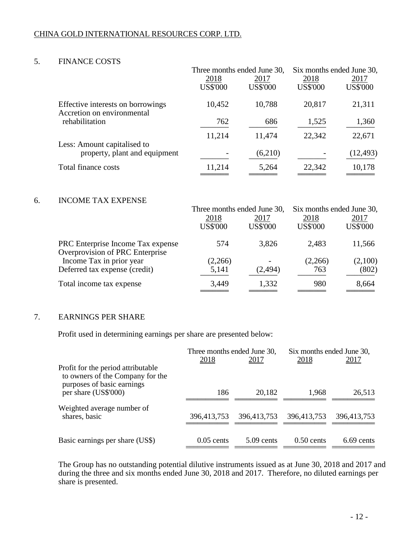# 5. FINANCE COSTS

|                                                                 |                 | Three months ended June 30, |                 | Six months ended June 30, |
|-----------------------------------------------------------------|-----------------|-----------------------------|-----------------|---------------------------|
|                                                                 | 2018            | 2017                        | 2018            | 2017                      |
|                                                                 | <b>US\$'000</b> | <b>US\$'000</b>             | <b>US\$'000</b> | <b>US\$'000</b>           |
| Effective interests on borrowings<br>Accretion on environmental | 10,452          | 10,788                      | 20,817          | 21,311                    |
| rehabilitation                                                  | 762             | 686                         | 1,525           | 1,360                     |
| Less: Amount capitalised to                                     | 11,214          | 11,474                      | 22,342          | 22,671                    |
| property, plant and equipment                                   |                 | (6,210)                     |                 | (12, 493)                 |
| Total finance costs                                             | 11,214          | 5,264                       | 22,342          | 10,178                    |
|                                                                 |                 |                             |                 |                           |

### 6. INCOME TAX EXPENSE

|                                                             | Three months ended June 30, |                 | Six months ended June 30, |                 |  |
|-------------------------------------------------------------|-----------------------------|-----------------|---------------------------|-----------------|--|
|                                                             | 2018                        | 2017            | 2018                      | 2017            |  |
|                                                             | <b>US\$'000</b>             | <b>US\$'000</b> | <b>US\$'000</b>           | <b>US\$'000</b> |  |
| PRC Enterprise Income Tax expense                           | 574                         | 3,826           | 2,483                     | 11,566          |  |
| Overprovision of PRC Enterprise<br>Income Tax in prior year | (2,266)                     |                 | (2,266)                   | (2,100)         |  |
| Deferred tax expense (credit)                               | 5,141                       | (2, 494)        | 763                       | (802)           |  |
| Total income tax expense                                    | 3,449                       | 1,332           | 980                       | 8,664           |  |
|                                                             |                             |                 |                           |                 |  |

# 7. EARNINGS PER SHARE

Profit used in determining earnings per share are presented below:

|                                                                                                      | Three months ended June 30, |              | Six months ended June 30, |             |
|------------------------------------------------------------------------------------------------------|-----------------------------|--------------|---------------------------|-------------|
|                                                                                                      | <u>2018</u>                 | 2017         | 2018                      | 2017        |
| Profit for the period attributable<br>to owners of the Company for the<br>purposes of basic earnings |                             |              |                           |             |
| per share (US\$'000)                                                                                 | 186                         | 20,182       | 1,968                     | 26,513      |
| Weighted average number of<br>shares, basic                                                          | 396,413,753                 | 396,413,753  | 396,413,753               | 396,413,753 |
| Basic earnings per share (US\$)                                                                      | $0.05$ cents                | $5.09$ cents | $0.50$ cents              | 6.69 cents  |

The Group has no outstanding potential dilutive instruments issued as at June 30, 2018 and 2017 and during the three and six months ended June 30, 2018 and 2017. Therefore, no diluted earnings per share is presented.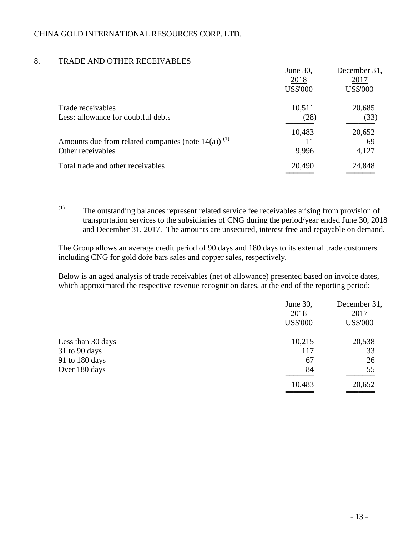# 8. TRADE AND OTHER RECEIVABLES

|                                                                   | June 30,        | December 31,    |
|-------------------------------------------------------------------|-----------------|-----------------|
|                                                                   | 2018            | 2017            |
|                                                                   | <b>US\$'000</b> | <b>US\$'000</b> |
| Trade receivables                                                 | 10,511          | 20,685          |
| Less: allowance for doubtful debts                                | (28)            | (33)            |
|                                                                   | 10,483          | 20,652          |
| Amounts due from related companies (note $14(a)$ ) <sup>(1)</sup> | 11              | 69              |
| Other receivables                                                 | 9,996           | 4,127           |
| Total trade and other receivables                                 | 20,490          | 24,848          |
|                                                                   |                 |                 |

(1) The outstanding balances represent related service fee receivables arising from provision of transportation services to the subsidiaries of CNG during the period/year ended June 30, 2018 and December 31, 2017. The amounts are unsecured, interest free and repayable on demand.

The Group allows an average credit period of 90 days and 180 days to its external trade customers including CNG for gold doŕe bars sales and copper sales, respectively.

Below is an aged analysis of trade receivables (net of allowance) presented based on invoice dates, which approximated the respective revenue recognition dates, at the end of the reporting period:

|                   | June 30,<br>2018<br><b>US\$'000</b> | December 31,<br>2017<br><b>US\$'000</b> |
|-------------------|-------------------------------------|-----------------------------------------|
| Less than 30 days | 10,215                              | 20,538                                  |
| 31 to 90 days     | 117                                 | 33                                      |
| 91 to 180 days    | 67                                  | 26                                      |
| Over 180 days     | 84                                  | 55                                      |
|                   | 10,483                              | 20,652                                  |
|                   |                                     |                                         |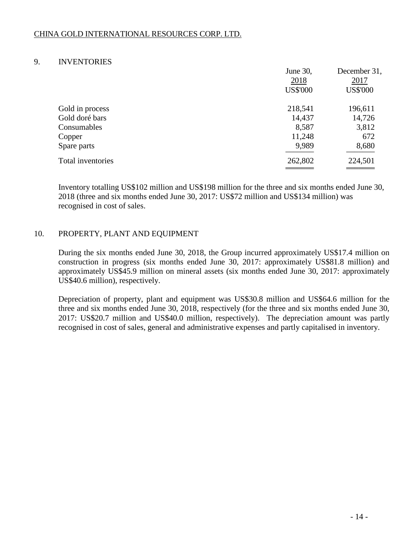### 9. INVENTORIES

|                   | June 30,        | December 31,    |
|-------------------|-----------------|-----------------|
|                   | 2018            | 2017            |
|                   | <b>US\$'000</b> | <b>US\$'000</b> |
| Gold in process   | 218,541         | 196,611         |
| Gold doré bars    | 14,437          | 14,726          |
| Consumables       | 8,587           | 3,812           |
| Copper            | 11,248          | 672             |
| Spare parts       | 9,989           | 8,680           |
| Total inventories | 262,802         | 224,501         |
|                   |                 |                 |

Inventory totalling US\$102 million and US\$198 million for the three and six months ended June 30, 2018 (three and six months ended June 30, 2017: US\$72 million and US\$134 million) was recognised in cost of sales.

# 10. PROPERTY, PLANT AND EQUIPMENT

During the six months ended June 30, 2018, the Group incurred approximately US\$17.4 million on construction in progress (six months ended June 30, 2017: approximately US\$81.8 million) and approximately US\$45.9 million on mineral assets (six months ended June 30, 2017: approximately US\$40.6 million), respectively.

Depreciation of property, plant and equipment was US\$30.8 million and US\$64.6 million for the three and six months ended June 30, 2018, respectively (for the three and six months ended June 30, 2017: US\$20.7 million and US\$40.0 million, respectively). The depreciation amount was partly recognised in cost of sales, general and administrative expenses and partly capitalised in inventory.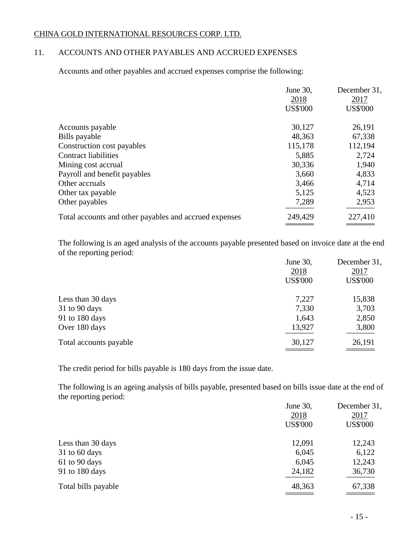# 11. ACCOUNTS AND OTHER PAYABLES AND ACCRUED EXPENSES

Accounts and other payables and accrued expenses comprise the following:

|                                                        | June 30,<br>2018<br><b>US\$'000</b> | December 31,<br>2017<br><b>US\$'000</b> |
|--------------------------------------------------------|-------------------------------------|-----------------------------------------|
| Accounts payable                                       | 30,127                              | 26,191                                  |
| Bills payable                                          | 48,363                              | 67,338                                  |
| Construction cost payables                             | 115,178                             | 112,194                                 |
| Contract liabilities                                   | 5,885                               | 2,724                                   |
| Mining cost accrual                                    | 30,336                              | 1,940                                   |
| Payroll and benefit payables                           | 3,660                               | 4,833                                   |
| Other accruals                                         | 3,466                               | 4,714                                   |
| Other tax payable                                      | 5,125                               | 4,523                                   |
| Other payables                                         | 7,289                               | 2,953                                   |
| Total accounts and other payables and accrued expenses | 249,429                             | 227,410                                 |
|                                                        |                                     |                                         |

The following is an aged analysis of the accounts payable presented based on invoice date at the end of the reporting period:

|                        | June 30,        | December 31,    |
|------------------------|-----------------|-----------------|
|                        | 2018            | 2017            |
|                        | <b>US\$'000</b> | <b>US\$'000</b> |
| Less than 30 days      | 7,227           | 15,838          |
| $31$ to 90 days        | 7,330           | 3,703           |
| 91 to 180 days         | 1,643           | 2,850           |
| Over 180 days          | 13,927          | 3,800           |
| Total accounts payable | 30,127          | 26,191          |
|                        |                 |                 |

The credit period for bills payable is 180 days from the issue date.

The following is an ageing analysis of bills payable, presented based on bills issue date at the end of the reporting period:

|                     | June 30,        | December 31,    |
|---------------------|-----------------|-----------------|
|                     | 2018            | 2017            |
|                     | <b>US\$'000</b> | <b>US\$'000</b> |
| Less than 30 days   | 12,091          | 12,243          |
| $31$ to 60 days     | 6,045           | 6,122           |
| 61 to 90 days       | 6,045           | 12,243          |
| 91 to 180 days      | 24,182          | 36,730          |
| Total bills payable | 48,363          | 67,338          |
|                     |                 |                 |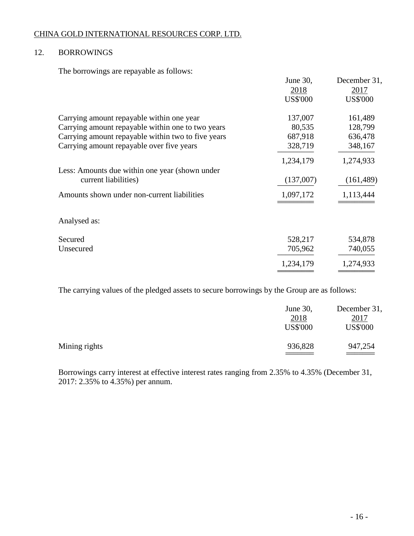# 12. BORROWINGS

The borrowings are repayable as follows:

|                                                    | June 30,        | December 31,    |
|----------------------------------------------------|-----------------|-----------------|
|                                                    | 2018            | 2017            |
|                                                    | <b>US\$'000</b> | <b>US\$'000</b> |
| Carrying amount repayable within one year          | 137,007         | 161,489         |
| Carrying amount repayable within one to two years  | 80,535          | 128,799         |
| Carrying amount repayable within two to five years | 687,918         | 636,478         |
| Carrying amount repayable over five years          | 328,719         | 348,167         |
|                                                    | 1,234,179       | 1,274,933       |
| Less: Amounts due within one year (shown under     |                 |                 |
| current liabilities)                               | (137,007)       | (161, 489)      |
| Amounts shown under non-current liabilities        | 1,097,172       | 1,113,444       |
| Analysed as:                                       |                 |                 |
|                                                    |                 |                 |
| Secured                                            | 528,217         | 534,878         |
| Unsecured                                          | 705,962         | 740,055         |
|                                                    | 1,234,179       | 1,274,933       |
|                                                    |                 |                 |

The carrying values of the pledged assets to secure borrowings by the Group are as follows:

|               | June 30,<br>2018<br><b>US\$'000</b> | December 31,<br>2017<br><b>US\$'000</b> |
|---------------|-------------------------------------|-----------------------------------------|
| Mining rights | 936,828                             | 947,254                                 |

Borrowings carry interest at effective interest rates ranging from 2.35% to 4.35% (December 31, 2017: 2.35% to 4.35%) per annum.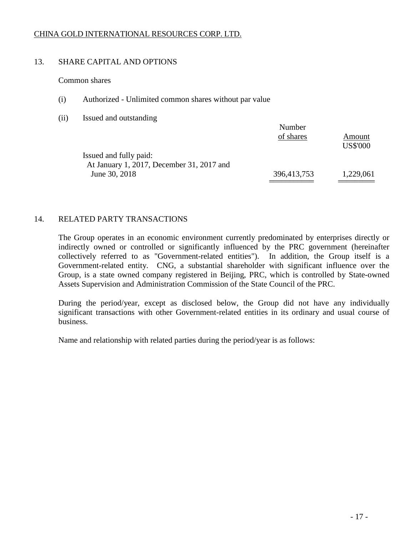# 13. SHARE CAPITAL AND OPTIONS

Common shares

- (i) Authorized Unlimited common shares without par value
- (ii) Issued and outstanding

|                                           | Number<br>of shares | Amount          |
|-------------------------------------------|---------------------|-----------------|
| Issued and fully paid:                    |                     | <b>US\$'000</b> |
| At January 1, 2017, December 31, 2017 and |                     |                 |
| June 30, 2018                             | 396,413,753         | 1,229,061       |
|                                           |                     |                 |

 $\lambda x = 1$ 

# 14. RELATED PARTY TRANSACTIONS

The Group operates in an economic environment currently predominated by enterprises directly or indirectly owned or controlled or significantly influenced by the PRC government (hereinafter collectively referred to as "Government-related entities"). In addition, the Group itself is a Government-related entity. CNG, a substantial shareholder with significant influence over the Group, is a state owned company registered in Beijing, PRC, which is controlled by State-owned Assets Supervision and Administration Commission of the State Council of the PRC.

During the period/year, except as disclosed below, the Group did not have any individually significant transactions with other Government-related entities in its ordinary and usual course of business.

Name and relationship with related parties during the period/year is as follows: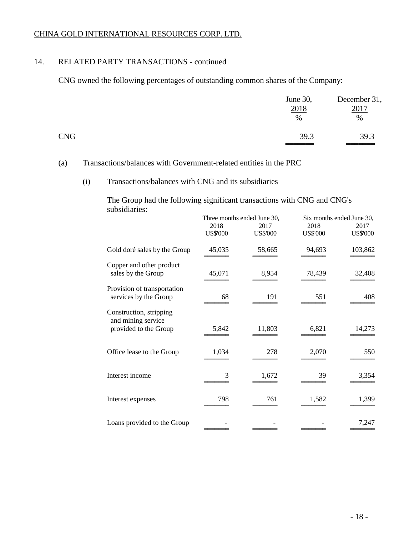# 14. RELATED PARTY TRANSACTIONS - continued

CNG owned the following percentages of outstanding common shares of the Company:

|            | June 30,<br>2018<br>$\%$ | December 31,<br>2017<br>$\%$ |
|------------|--------------------------|------------------------------|
| <b>CNG</b> | 39.3                     | 39.3                         |

# (a) Transactions/balances with Government-related entities in the PRC

### (i) Transactions/balances with CNG and its subsidiaries

The Group had the following significant transactions with CNG and CNG's subsidiaries:

|                                                                        | Three months ended June 30, |                         | Six months ended June 30, |                         |
|------------------------------------------------------------------------|-----------------------------|-------------------------|---------------------------|-------------------------|
|                                                                        | 2018<br><b>US\$'000</b>     | 2017<br><b>US\$'000</b> | 2018<br><b>US\$'000</b>   | 2017<br><b>US\$'000</b> |
| Gold doré sales by the Group                                           | 45,035                      | 58,665                  | 94,693                    | 103,862                 |
| Copper and other product<br>sales by the Group                         | 45,071                      | 8,954                   | 78,439                    | 32,408                  |
| Provision of transportation<br>services by the Group                   | 68                          | 191                     | 551                       | 408                     |
| Construction, stripping<br>and mining service<br>provided to the Group | 5,842                       | 11,803                  | 6,821                     | 14,273                  |
| Office lease to the Group                                              | 1,034                       | 278                     | 2,070                     | 550                     |
| Interest income                                                        | 3                           | 1,672                   | 39                        | 3,354                   |
| Interest expenses                                                      | 798                         | 761                     | 1,582                     | 1,399                   |
| Loans provided to the Group                                            |                             |                         |                           | 7,247                   |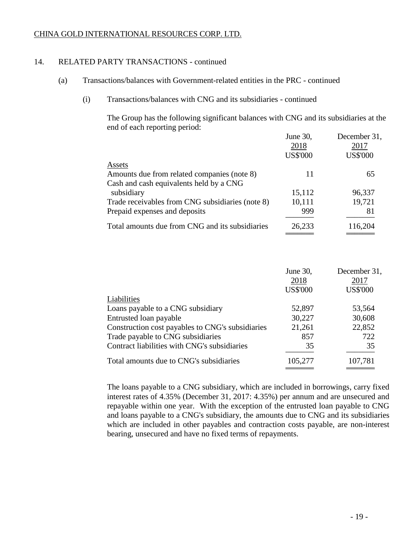# 14. RELATED PARTY TRANSACTIONS - continued

- (a) Transactions/balances with Government-related entities in the PRC continued
	- (i) Transactions/balances with CNG and its subsidiaries continued

The Group has the following significant balances with CNG and its subsidiaries at the end of each reporting period:

|                                                  | June 30,        | December 31,    |
|--------------------------------------------------|-----------------|-----------------|
|                                                  | 2018            | 2017            |
|                                                  | <b>US\$'000</b> | <b>US\$'000</b> |
| Assets                                           |                 |                 |
| Amounts due from related companies (note 8)      | 11              | 65              |
| Cash and cash equivalents held by a CNG          |                 |                 |
| subsidiary                                       | 15,112          | 96,337          |
| Trade receivables from CNG subsidiaries (note 8) | 10,111          | 19,721          |
| Prepaid expenses and deposits                    | 999             | 81              |
| Total amounts due from CNG and its subsidiaries  | 26,233          | 116,204         |
|                                                  |                 |                 |

|                                                  | June 30,        | December 31,    |
|--------------------------------------------------|-----------------|-----------------|
|                                                  | 2018            | 2017            |
|                                                  | <b>US\$'000</b> | <b>US\$'000</b> |
| Liabilities                                      |                 |                 |
| Loans payable to a CNG subsidiary                | 52,897          | 53,564          |
| Entrusted loan payable                           | 30,227          | 30,608          |
| Construction cost payables to CNG's subsidiaries | 21,261          | 22,852          |
| Trade payable to CNG subsidiaries                | 857             | 722             |
| Contract liabilities with CNG's subsidiaries     | 35              | 35              |
| Total amounts due to CNG's subsidiaries          | 105,277         | 107,781         |
|                                                  |                 |                 |

The loans payable to a CNG subsidiary, which are included in borrowings, carry fixed interest rates of 4.35% (December 31, 2017: 4.35%) per annum and are unsecured and repayable within one year. With the exception of the entrusted loan payable to CNG and loans payable to a CNG's subsidiary, the amounts due to CNG and its subsidiaries which are included in other payables and contraction costs payable, are non-interest bearing, unsecured and have no fixed terms of repayments.